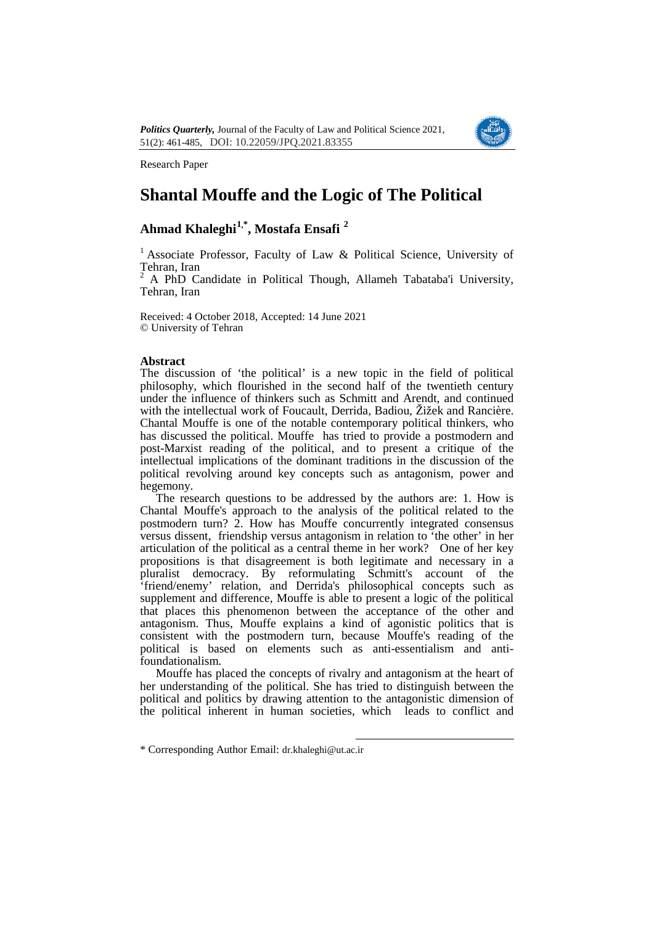

Research Paper

# **Shantal Mouffe and the Logic of The Political**

# **Ahmad Khaleghi[1,](#page-0-0)\* , Mostafa Ensafi [2](#page-0-1)**

<sup>1</sup> Associate Professor, Faculty of Law & Political Science, University of Tehran, Iran

<sup>2</sup> A PhD Candidate in Political Though, Allameh Tabataba'i University, Tehran, Iran

Received: 4 October 2018, Accepted: 14 June 2021 © University of Tehran

## **Abstract**

The discussion of 'the political' is a new topic in the field of political philosophy, which flourished in the second half of the twentieth century under the influence of thinkers such as Schmitt and Arendt, and continued with the intellectual work of Foucault, Derrida, Badiou, Žižek and Rancière. Chantal Mouffe is one of the notable contemporary political thinkers, who has discussed the political. Mouffe has tried to provide a postmodern and post-Marxist reading of the political, and to present a critique of the intellectual implications of the dominant traditions in the discussion of the political revolving around key concepts such as antagonism, power and hegemony.

The research questions to be addressed by the authors are: 1. How is Chantal Mouffe's approach to the analysis of the political related to the postmodern turn? 2. How has Mouffe concurrently integrated consensus versus dissent, friendship versus antagonism in relation to 'the other' in her articulation of the political as a central theme in her work? One of her key propositions is that disagreement is both legitimate and necessary in a pluralist democracy. By reformulating Schmitt's account of the 'friend/enemy' relation, and Derrida's philosophical concepts such as supplement and difference. Mouffe is able to present a logic of the political that places this phenomenon between the acceptance of the other and antagonism. Thus, Mouffe explains a kind of agonistic politics that is consistent with the postmodern turn, because Mouffe's reading of the political is based on elements such as anti-essentialism and antifoundationalism.

Mouffe has placed the concepts of rivalry and antagonism at the heart of her understanding of the political. She has tried to distinguish between the political and politics by drawing attention to the antagonistic dimension of the political inherent in human societies, which leads to conflict and

<span id="page-0-1"></span><span id="page-0-0"></span><sup>\*</sup> Corresponding Author Email: dr.khaleghi@ut.ac.ir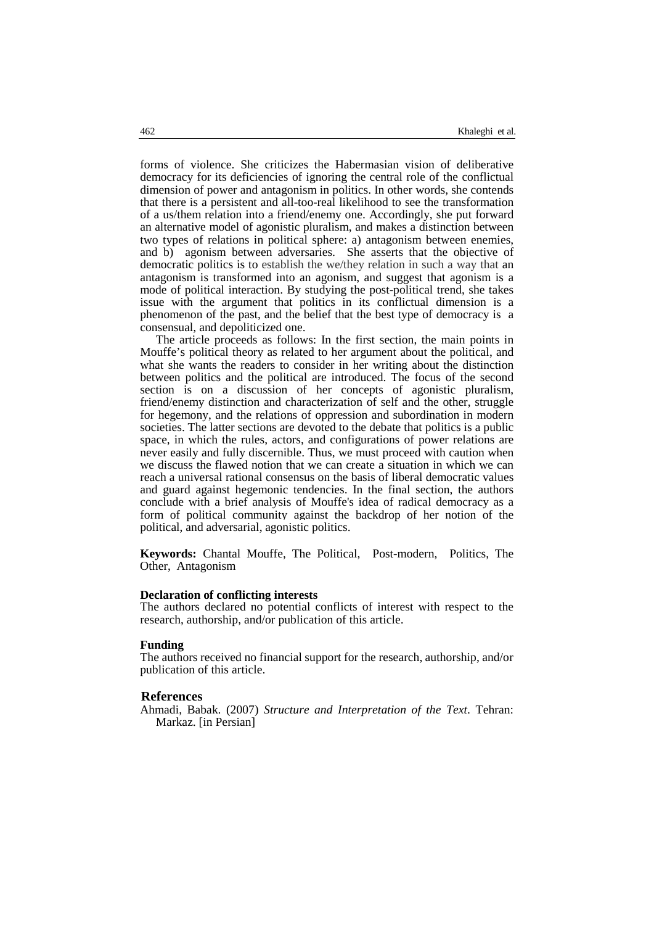forms of violence. She criticizes the Habermasian vision of deliberative democracy for its deficiencies of ignoring the central role of the conflictual dimension of power and antagonism in politics. In other words, she contends that there is a persistent and all-too-real likelihood to see the transformation of a us/them relation into a friend/enemy one. Accordingly, she put forward an alternative model of agonistic pluralism, and makes a distinction between two types of relations in political sphere: a) antagonism between enemies, and b) agonism between adversaries. She asserts that the objective of democratic politics is to establish the we/they relation in such a way that an antagonism is transformed into an agonism, and suggest that agonism is a mode of political interaction. By studying the post-political trend, she takes issue with the argument that politics in its conflictual dimension is a phenomenon of the past, and the belief that the best type of democracy is a consensual, and depoliticized one.

The article proceeds as follows: In the first section, the main points in Mouffe's political theory as related to her argument about the political, and what she wants the readers to consider in her writing about the distinction between politics and the political are introduced. The focus of the second section is on a discussion of her concepts of agonistic pluralism, friend/enemy distinction and characterization of self and the other, struggle for hegemony, and the relations of oppression and subordination in modern societies. The latter sections are devoted to the debate that politics is a public space, in which the rules, actors, and configurations of power relations are never easily and fully discernible. Thus, we must proceed with caution when we discuss the flawed notion that we can create a situation in which we can reach a universal rational consensus on the basis of liberal democratic values and guard against hegemonic tendencies. In the final section, the authors conclude with a brief analysis of Mouffe's idea of radical democracy as a form of political community against the backdrop of her notion of the political, and adversarial, agonistic politics.

**Keywords:** Chantal Mouffe, The Political, Post-modern, Politics, The Other, Antagonism

#### **Declaration of conflicting interests**

The authors declared no potential conflicts of interest with respect to the research, authorship, and/or publication of this article.

#### **Funding**

The authors received no financial support for the research, authorship, and/or publication of this article.

#### **References**

Ahmadi, Ba[b](#page-4-0)ak. (2007) *Structure and Interpretation of the Text*. Tehran: Markaz. [in Persian]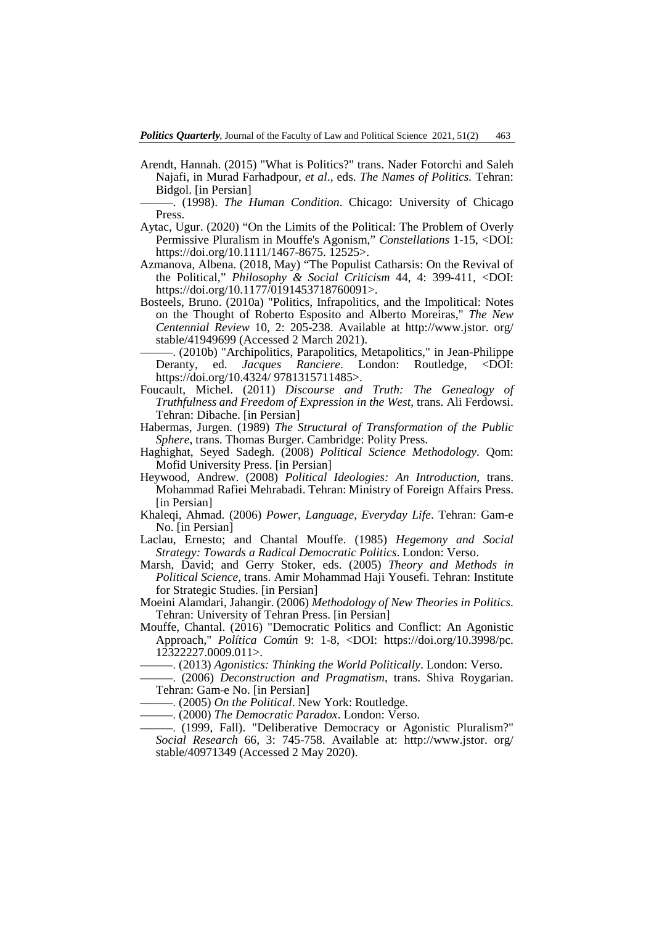- Arendt, Hannah. (2015) "What is Politics?" trans. Nader Fotorchi and Saleh Najafi, in Murad Farhadpour, *et al*., eds. *The Names of Politics.* Tehran: Bidgol. [in Persian]
	- ———. (1998). *The Human Condition*. Chicago: University of Chicago Press.
- Aytac, Ugur. (2020) "On the Limits of the Political: The Problem of Overly Permissive Pluralism in Mouffe's Agonism," *Constellations* 1-15, <DOI: https://doi.org/10.1111/1467-8675. 12525>.
- Azmanova, Albena. (2018, May) "The Populist Catharsis: On the Revival of the Political," *Philosophy & Social Criticism* 44, 4: 399-411, <DOI: https://doi.org/10.1177/0191453718760091>.
- Bosteels, Bruno. (2010a) "Politics, Infrapolitics, and the Impolitical: Notes on the Thought of Roberto Esposito and Alberto Moreiras," *The New Centennial Review* 10, 2: 205-238. Available at http://www.jstor. org/ stable/41949699 (Accessed 2 March 2021).
- ———. (2010b) "Archipolitics, Parapolitics, Metapolitics," in Jean-Philippe Deranty, ed. *Jacques Ranciere*. London: Routledge, <DOI: https://doi.org/10.4324/ 9781315711485>.
- Foucault, Michel. (2011) *Discourse and Truth: The Genealogy of Truthfulness and Freedom of Expression in the West*, trans. Ali Ferdowsi. Tehran: Dibache. [in Persian]
- Habermas, Jurgen. (1989) *The Structural of Transformation of the Public Sphere*, trans. Thomas Burger. Cambridge: Polity Press.
- Haghighat, Seyed Sadegh. (2008) *Political Science Methodology*. Qom: Mofid University Press. [in Persian]
- Heywood, Andrew. (2008) *Political Ideologies: An Introduction,* trans. Mohammad Rafiei Mehrabadi. Tehran: Ministry of Foreign Affairs Press. [in Persian]
- Khaleqi, Ahmad. (2006) *Power, Language, Everyday Life*. Tehran: Gam-e No. [in Persian]
- Laclau, Ernesto; and Chantal Mouffe. (1985) *Hegemony and Social Strategy: Towards a Radical Democratic Politics*. London: Verso.
- Marsh, David; and Gerry Stoker, eds. (2005) *Theory and Methods in Political Science,* trans. Amir Mohammad Haji Yousefi. Tehran: Institute for Strategic Studies. [in Persian]
- Moeini Alamdari, Jahangir. (2006) *Methodology of New Theories in Politics*. Tehran: University of Tehran Press. [in Persian]
- Mouffe, Chantal. (2016) "Democratic Politics and Conflict: An Agonistic Approach," *Política Común* 9: 1-8, <DOI: https://doi.org/10.3998/pc. 12322227.0009.011>.
	- ———. (2013) *Agonistics: Thinking the World Politically*. London: Verso.
- ———. (2006) *Deconstruction and Pragmatism*, trans. Shiva Roygarian. Tehran: Gam-e No. [in Persian]
- ———. (2005) *On the Political*. New York: Routledge.
- ———. (2000) *The Democratic Paradox*. London: Verso.
- ———. (1999, Fall). "Deliberative Democracy or Agonistic Pluralism?" *Social Research* 66, 3: 745-758. Available at: http://www.jstor. org/ stable/40971349 (Accessed 2 May 2020).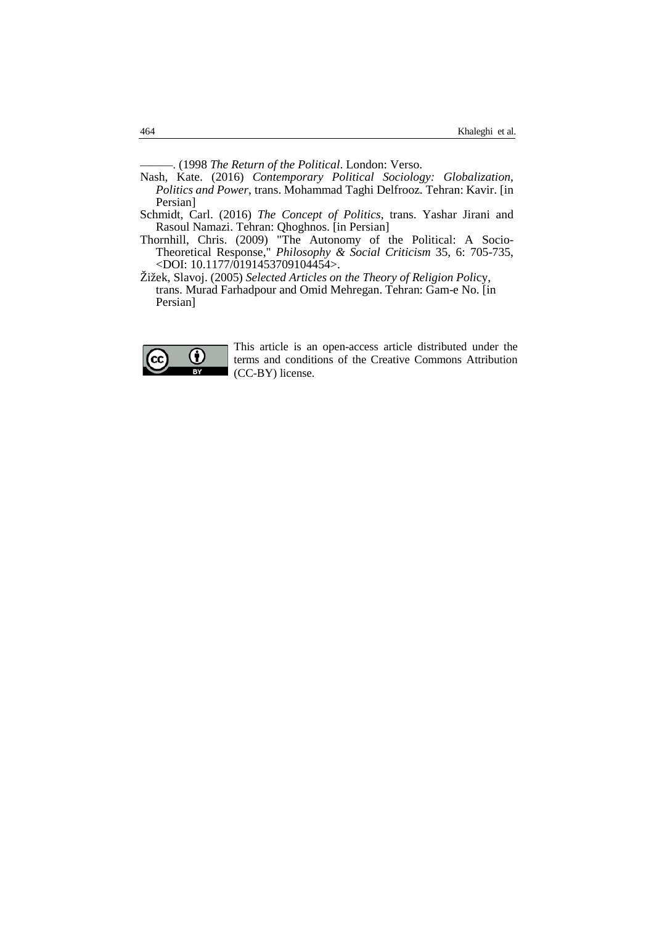———. (1998 *The Return of the Political*. London: Verso.

- Nash, Kate. (2016) *Contemporary Political Sociology: Globalization, Politics and Power*, trans. Mohammad Taghi Delfrooz. Tehran: Kavir. [in Persian]
- Schmidt, Carl. (2016) *The Concept of Politics*, trans. Yashar Jirani and Rasoul Namazi. Tehran: Qhoghnos. [in Persian]
- Thornhill, Chris. (2009) "The Autonomy of the Political: A Socio-Theoretical Response," *Philosophy & Social Criticism* 35, 6: 705-735, <DOI: 10.1177/0191453709104454>.
- Žižek, Slavoj. (2005) *Selected Articles on the Theory of Religion Poli*cy, trans. Murad Farhadpour and Omid Mehregan. Tehran: Gam-e No. [in Persian]



This article is an open-access article distributed under the terms and conditions of the Creative Commons Attribution (CC-BY) license.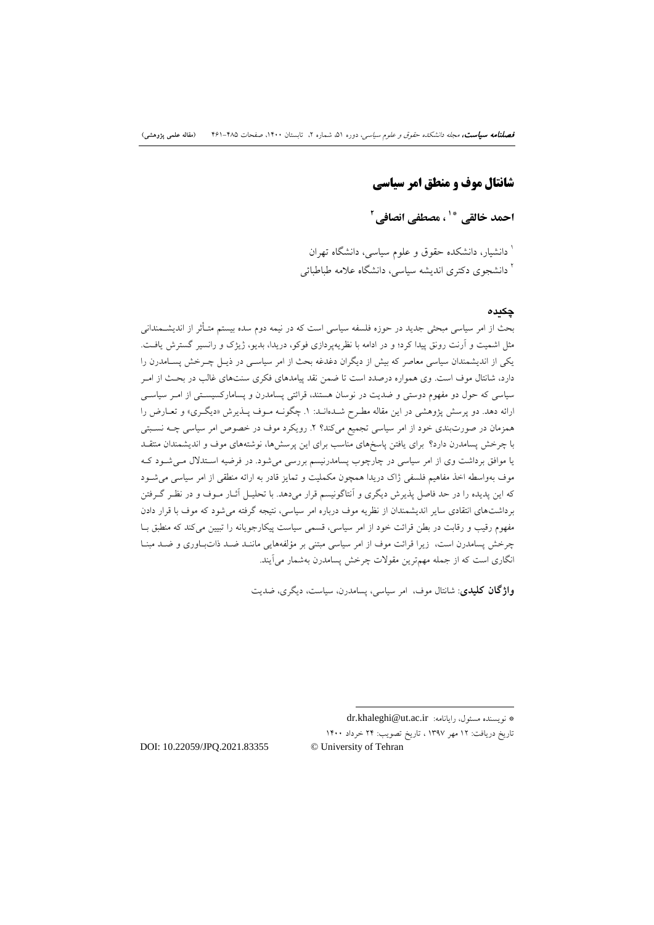## **شانتال موف و منطق امر سیاسی**

**[2](#page-13-1) ، مصطفی انصافی \*[1](#page-13-0) احمد خالقی**

دانشیار، دانشکده حقوق و علوم سیاسی، دانشگاه تهران <sup>1</sup> <sup>۱</sup> دانشجوی دکتری اندیشه سیاسی، دانشگاه علامه طباطبائ<sub>ی</sub>

### **چکیده**

بحث از امر سیاسی مبحثی جدید در حوزه فلسفه سیاسی است که در نیمه دوم سده بیستم متـأثر از اندیشـمندانی مثل اشمیت و آرنت رونق پیدا کرد؛ و در ادامه با نظریهپردازي فوکو، دریدا، بدیو، ژیژك و رانسیر گسترش یافـت . یکی از اندیشمندان سیاسی معاصر که بیش از دیگران دغدغه بحث از امر سیاسـی در ذیـل چـرخش پسـامدرن را دارد، شانتال موف است. وي همواره درصدد است تا ضمن نقد پیامدهاي فکري سنتهاي غالب در بحـث از امـر سیاسی که حول دو مفهوم دوستی و ضدیت در نوسان هستند، قرائتی پسامدرن و پسامارکسیسـتی از امـر سیاسـی ارائه دهد. دو پرسش پژوهشی در این مقاله مطـرح شـده انـد: .1 چگونـه مـوف پـذیرش «دیگـري » و تعـارض را همزمان در صورتبندي خود از امر سیاسی تجمیع میکند؟ .2 رویکرد موف در خصوص امر سیاسی چـه نسـبتی با چرخش پسامدرن دارد؟ براي یافتن پاسخهاي مناسب براي این پرسشها، نوشتههاي موف و اندیشمندان منتقـد یا موافق برداشت وي از امر سیاسی در چارچوب پسامدرنیسم بررسی میشود. در فرضیه اسـتدلال مـ یشـود کـه موف بهواسطه اخذ مفاهیم فلسفی ژاك دریدا همچون مکملیت و تمایز قادر به ارائه منطقی از امر سیاسی میشـود که این پدیده را در حد فاصل پذیرش دیگري و آنتاگونیسم قرار میدهد. با تحلیـل آثـار مـوف و در نظـر گـرفتن برداشتهاي انتقادي سایر اندیشمندان از نظریه موف درباره امر سیاسی، نتیجه گرفته میشود که موف با قرار دادن مفهوم رقیب و رقابت در بطن قرائت خود از امر سیاسی، قسمی سیاست پیکارجویانه را تبیین میکند که منطبق بـا چرخش پسامدرن است، زیرا قرائت موف از امر سیاسی مبتنی بر مؤلفههایی ماننـد ضـد ذات بـاوري و ضـد مبنـا انگاري است که از جمله مهمترین مقولات چرخش پسامدرن بهشمار میآیند.

**واژگان کلیدي**: شانتال موف، امر سیاسی، پسامدرن، سیاست، دیگري، ضدیت

-

تاریخ دریافت: 12 مهر 1397 ، تاریخ تصویب: 24 خرداد 1400

<span id="page-4-0"></span>DOI: 10.22059/JPQ.2021.83355 © University of Tehran

dr.khaleghi@ut.ac.ir :رایانامه ،مسئول نویسنده\*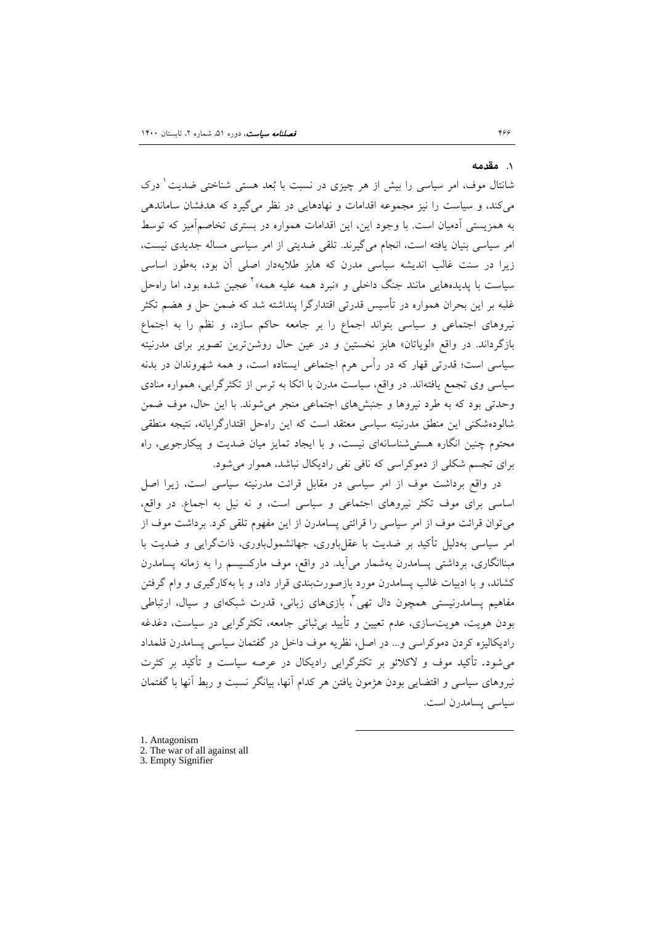#### .1 **مقدمه**

شانتال موف، امر سیاسی را بیش از هر چیزی در نسبت با بُعد هستی شناختی ضدیت <sup>۱</sup> درک میکند، و سیاست را نیز مجموعه اقدامات و نهادهایی در نظر میگیرد که هدفشان ساماندهی به همزیستی آدمیان است. با وجود این، این اقدامات همواره در بستري تخاصمآمیز که توسط امر سیاسی بنیان یافته است، انجام میگیرند. تلقی ضدیتی از امر سیاسی مساله جدیدي نیست، زیرا در سنت غالب اندیشه سیاسی مدرن که هابز طلایهدار اصلی آن بود، بهطور اساسی سیاست با پدیدههایی مانند جنگ داخلی و «نبرد همه علیه همه»<sup>۲</sup> عجین شده بود، اما راهحل غلبه بر این بحران همواره در تأسیس قدرتی اقتدارگرا پنداشته شد که ضمن حل و هضم تکثر نیروهاي اجتماعی و سیاسی بتواند اجماع را بر جامعه حاکم سازد، و نظم را به اجتماع بازگرداند. در واقع «لویاتان» هابز نخستین و در عین حال روشنترین تصویر براي مدرنیته سیاسی است؛ قدرتی قهار که در رأس هرم اجتماعی ایستاده است، و همه شهروندان در بدنه سیاسی وي تجمع یافتهاند. در واقع، سیاست مدرن با اتکا به ترس از تکثرگرایی، همواره منادي وحدتی بود که به طرد نیروها و جنبشهاي اجتماعی منجر میشوند. با این حال، موف ضمن شالودهشکنی این منطق مدرنیته سیاسی معتقد است که این راهحل اقتدارگرایانه، نتیجه منطقی محتوم چنین انگاره هستیشناسانهاي نیست، و با ایجاد تمایز میان ضدیت و پیکارجویی، راه براي تجسم شکلی از دموکراسی که نافی نفی رادیکال نباشد، هموار میشود.

 در واقع برداشت موف از امر سیاسی در مقابل قرائت مدرنیته سیاسی است، زیرا اصل اساسی براي موف تکثر نیروهاي اجتماعی و سیاسی است، و نه نیل به اجماع. در واقع، میتوان قرائت موف از امر سیاسی را قرائتی پسامدرن از این مفهوم تلقی کرد. برداشت موف از امر سیاسی بهدلیل تأکید بر ضدیت با عقلباوري، جهانشمولباوري، ذاتگرایی و ضدیت با مبناانگاري، برداشتی پسامدرن بهشمار میآید. در واقع، موف مارکسیسم را به زمانه پسامدرن کشاند، و با ادبیات غالب پسامدرن مورد بازصورتبندي قرار داد، و با بهکارگیري و وام گرفتن مفاهیم پسامدرنیستی همچون دال تهی آ، بازیهای زبانی، قدرت شبکهای و سیال، ارتباطی بودن هویت، هویتسازي، عدم تعیین و تأیید بیثباتی جامعه، تکثرگرایی در سیاست، دغدغه رادیکالیزه کردن دموکراسی و... در اصل، نظریه موف داخل در گفتمان سیاسی پسامدرن قلمداد میشود. تأکید موف و لاکلائو بر تکثرگرایی رادیکال در عرصه سیاست و تأکید بر کثرت نیروهاي سیاسی و اقتضایی بودن هژمون یافتن هر کدام آنها، بیانگر نسبت و ربط آنها با گفتمان سیاسی پسامدرن است.

- 1. Antagonism
- 2. The war of all against all

<sup>3.</sup> Empty Signifier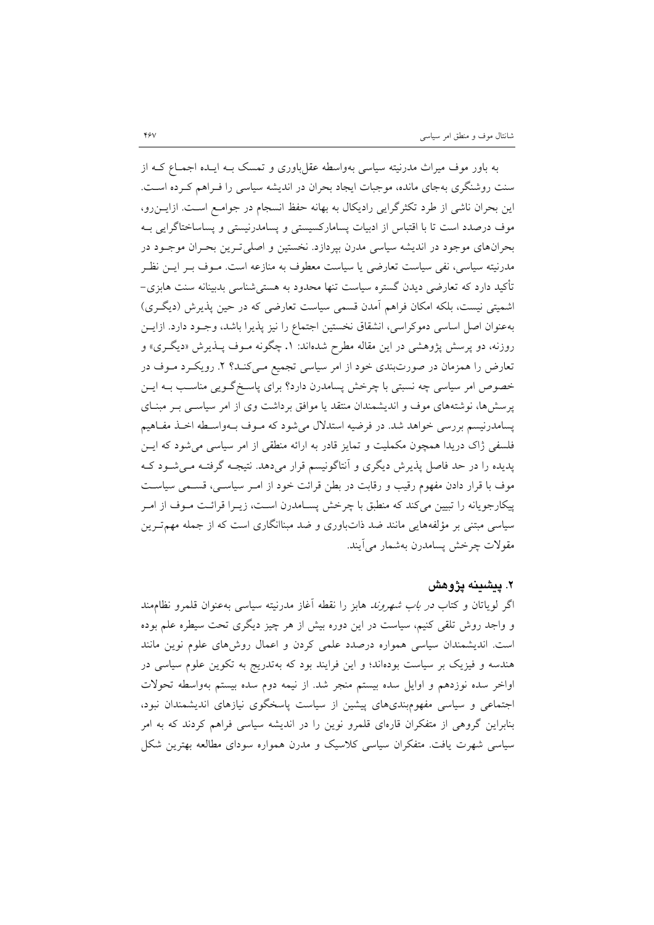به باور موف میراث مدرنیته سیاسی بهواسطه عقلباوري و تمسک بـه ایـده اجمـاع کـه از سنت روشنگري بهجاي مانده، موجبات ایجاد بحران در اندیشه سیاسی را فـراهم کـرده اسـت. این بحران ناشی از طرد تکثرگرایی رادیکال به بهانه حفظ انسجام در جوامـع اسـت. ازایـ نرو، موف درصدد است تا با اقتباس از ادبیات پسامارکسیستی و پسامدرنیستی و پساساختاگرایی بـه بحرانهاي موجود در اندیشه سیاسی مدرن بپردازد. نخستین و اصلیتـرین بحـران موجـود در مدرنیته سیاسی، نفی سیاست تعارضی یا سیاست معطوف به منازعه است. مـوف بـر ایـن نظـر تأکید دارد که تعارضی دیدن گستره سیاست تنها محدود به هستیشناسی بدبینانه سنت هابزي- اشمیتی نیست، بلکه امکان فراهم آمدن قسمی سیاست تعارضی که در حین پذیرش (دیگـري ) بهعنوان اصل اساسی دموکراسی، انشقاق نخستین اجتماع را نیز پذیرا باشد، وجـود دارد. از ایـن روزنه، دو پرسش پژوهشی در این مقاله مطرح شدهاند: .1 چگونه مـوف پـذیرش «دیگـري » و تعارض را همزمان در صورتبندي خود از امر سیاسی تجمیع مـی کنـد؟ .2 رویکـرد مـوف در خصوص امر سیاسی چه نسبتی با چرخش پسامدرن دارد؟ براي پاسـخ گـویی مناسـب بـه ایـن پرسشها، نوشتههاي موف و اندیشمندان منتقد یا موافق برداشت وي از امر سیاسـی بـر مبنـاي پسامدرنیسم بررسی خواهد شد. در فرضیه استدلال میشود که مـوف بـه واسـطه اخـذ مفـاهیم فلسفی ژاك دریدا همچون مکملیت و تمایز قادر به ارائه منطقی از امر سیاسی میشود که ایـن پدیده را در حد فاصل پذیرش دیگري و آنتاگونیسم قرار میدهد. نتیجـه گرفتـه مـ یشـود کـه موف با قرار دادن مفهوم رقیب و رقابت در بطن قرائت خود از امـر سیاسـی، قسـمی سیاسـت پیکارجویانه را تبیین میکند که منطبق با چرخش پسـامدرن اسـت ، زیـرا قرائـت مـوف از امـر سیاسی مبتنی بر مؤلفههایی مانند ضد ذاتباوري و ضد مبناانگاري است که از جمله مهمتـرین مقولات چرخش پسامدرن بهشمار میآیند.

## **.2 پیشینه پژوهش**

اگر لویاتان و کتاب در باب شهروند هابز را نقطه آغاز مدرنیته سیاسی بهعنوان قلمرو نظاممند و واجد روش تلقی کنیم، سیاست در این دوره بیش از هر چیز دیگري تحت سیطره علم بوده است. اندیشمندان سیاسی همواره درصدد علمی کردن و اعمال روشهاي علوم نوین مانند هندسه و فیزیک بر سیاست بودهاند؛ و این فرایند بود که بهتدریج به تکوین علوم سیاسی در اواخر سده نوزدهم و اوایل سده بیستم منجر شد. از نیمه دوم سده بیستم بهواسطه تحولات اجتماعی و سیاسی مفهومبنديهاي پیشین از سیاست پاسخگوي نیازهاي اندیشمندان نبود، بنابراین گروهی از متفکران قارهاي قلمرو نوین را در اندیشه سیاسی فراهم کردند که به امر سیاسی شهرت یافت. متفکران سیاسی کلاسیک و مدرن همواره سوداي مطالعه بهترین شکل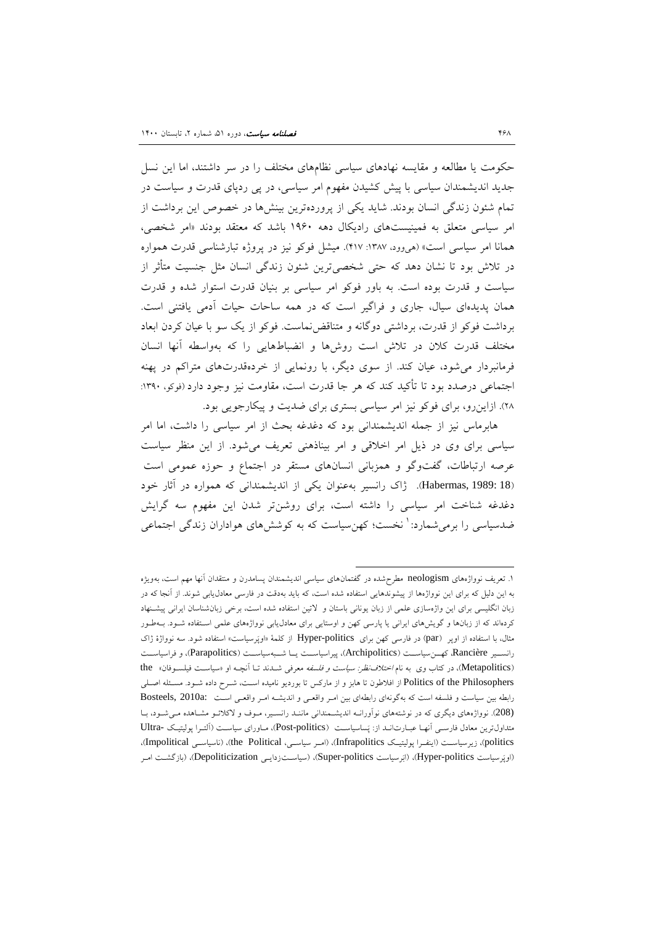حکومت یا مطالعه و مقایسه نهادهاي سیاسی نظامهاي مختلف را در سر داشتند، اما این نسل جدید اندیشمندان سیاسی با پیش کشیدن مفهوم امر سیاسی، در پی ردپاي قدرت و سیاست در تمام شئون زندگی انسان بودند. شاید یکی از پروردهترین بینشها در خصوص این برداشت از امر سیاسی متعلق به فمینیستهاي رادیکال دهه 1960 باشد که معتقد بودند «امر شخصی، همانا امر سیاسی است» (هیوود، :1387 417). میشل فوکو نیز در پروژه تبارشناسی قدرت همواره در تلاش بود تا نشان دهد که حتی شخصیترین شئون زندگی انسان مثل جنسیت متأثر از سیاست و قدرت بوده است. به باور فوکو امر سیاسی بر بنیان قدرت استوار شده و قدرت همان پدیدهاي سیال، جاري و فراگیر است که در همه ساحات حیات آدمی یافتنی است. برداشت فوکو از قدرت، برداشتی دوگانه و متناقضنماست. فوکو از یک سو با عیان کردن ابعاد مختلف قدرت کلان در تلاش است روشها و انضباطهایی را که بهواسطه آنها انسان فرمانبردار میشود، عیان کند. از سوي دیگر، با رونمایی از خردهقدرتهاي متراکم در پهنه اجتماعی درصدد بود تا تأکید کند که هر جا قدرت است، مقاومت نیز وجود دارد (فوکو، :1390 28). ازاینرو، براي فوکو نیز امر سیاسی بستري براي ضدیت و پیکارجویی بود.

 هابرماس نیز از جمله اندیشمندانی بود که دغدغه بحث از امر سیاسی را داشت، اما امر سیاسی براي وي در ذیل امر اخلاقی و امر بیناذهنی تعریف میشود. از این منظر سیاست عرصه ارتباطات، گفتوگو و همزبانی انسانهاي مستقر در اجتماع و حوزه عمومی است (18 1989: ,Habermas(. ژاك رانسیر بهعنوان یکی از اندیشمندانی که همواره در آثار خود دغدغه شناخت امر سیاسی را داشته است، براي روشنتر شدن این مفهوم سه گرایش ضدسیاسی را برمیشمارد: ٰ نخست؛ کهنسیاست که به کوشش های هواداران زندگی اجتماعی

[<sup>.1</sup>](#page-17-0) تعریف نوواژههاي neologism مطرحشده در گفتمانهاي سیاسی اندیشمندان پسامدرن و منتقدان آنها مهم است، بهویژه به این دلیل که براي این نوواژهها از پیشوندهایی استفاده شده است، که باید بهدقت در فارسی معادلیابی شوند. از آنجا که در زبان انگلیسی براي این واژهسازي علمی از زبان یونانی باستان و لاتین استفاده شده است، برخی زبانشناسان ایرانی پیشـنهاد کردهاند که از زبانها و گویشهاي ایرانی یا پارسی کهن و اوستایی براي معادلیابی نوواژههاي علمی اسـتفاده شـود. بـه طـور مثال، با استفاده از اوپر (par) در فارسی کهن برای Hyper-politics از کلمۀ «اوپَرسیاست» استفاده شود. سه نوواژهٔ ژاک رانســیر Rancière، کهــنسیاســت (Archipolitics(، پیراسیاســت یــا شــبهسیاســت (Parapolitics(، و فراسیاســت (Metapolitics)، در کتاب وي به نام *اختلاف نظر: سیاست و فلسفه* معرفی شـدند تـا آنچـه او «سیاسـت فیلسـوفان» the Politics of the Philosophers از افلاطون تا هابز و از مارکس تا بوردیو نامیده اسـت، شـرح داده شـود. مسـئله اصـلي رابطه بین سیاست و فلسفه است که بهگونهای رابطهای بین امـر واقعـی و اندیشـه امـر واقعـی اسـت :Bosteels, 2010a (208). نوواژههاي دیگري که در نوشتههاي نوآورانـه اندیشـمندانی ماننـد رانسـیر، مـوف و لاکلائـو مشـاهده مـ یشـود، بـا متداول ترین معادل فارسـی آنهـا عبـارت انـد از: پَساسیاسـت (Post-politics)، مـاورای سیاسـت (آلتـرا پولیتیـک -Ultra politics)، زیرسیاسـت (اینفـرا پولیتیـک Infrapolitics)، (امـر سیاســی، the Political)، (ناسیاســی Impolitical)، (اوپرسیاست politics-Hyper(،) ابرسیاست politics-Super(،) سیاسـت زدایـی Depoliticization(،) بازگشـت امـر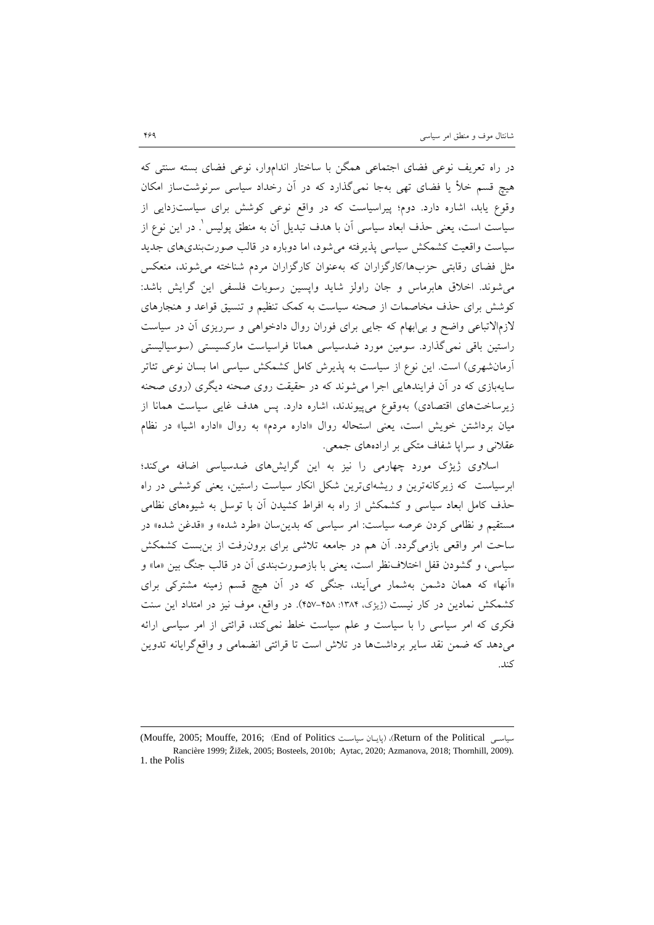در راه تعریف نوعی فضاي اجتماعی همگن با ساختار انداموار، نوعی فضاي بسته سنتی که هیچ قسم خلأ یا فضاي تهی بهجا نمیگذارد که در آن رخداد سیاسی سرنوشتساز امکان وقوع یابد، اشاره دارد. دوم؛ پیراسیاست که در واقع نوعی کوشش براي سیاستزدایی از سیاست است، یعنی حذف ابعاد سیاسی آن با هدف تبدیل آن به منطق پولیس ْ. در این نوع از سیاست واقعیت کشمکش سیاسی پذیرفته میشود، اما دوباره در قالب صورتبنديهاي جدید مثل فضاي رقابتی حزبها/کارگزاران که بهعنوان کارگزاران مردم شناخته میشوند، منعکس میشوند. اخلاق هابرماس و جان راولز شاید واپسین رسوبات فلسفی این گرایش باشد: کوشش براي حذف مخاصمات از صحنه سیاست به کمک تنظیم و تنسیق قواعد و هنجارهاي لازمالاتباعی واضح و بیابهام که جایی براي فوران روال دادخواهی و سرریزي آن در سیاست راستین باقی نمیگذارد. سومین مورد ضدسیاسی همانا فراسیاست مارکسیستی (سوسیالیستی آرمانشهري) است. این نوع از سیاست به پذیرش کامل کشمکش سیاسی اما بسان نوعی تئاتر سایهبازي که در آن فرایندهایی اجرا میشوند که در حقیقت روي صحنه دیگري (روي صحنه زیرساختهاي اقتصادي) بهوقوع میپیوندند، اشاره دارد. پس هدف غایی سیاست همانا از میان برداشتن خویش است، یعنی استحاله روال «اداره مردم» به روال «اداره اشیا» در نظام عقلانی و سراپا شفاف متکی بر ارادههاي جمعی.

اسلاوي [ژ](#page-18-0)یژك مورد چهارمی را نیز به این گرایشهاي ضدسیاسی اضافه میکند؛ ابرسیاست که زیرکانهترین و ریشهايترین شکل انکار سیاست راستین، یعنی کوششی در راه حذف کامل ابعاد سیاسی و کشمکش از راه به افراط کشیدن آن با توسل به شیوههاي نظامی مستقیم و نظامی کردن عرصه سیاست: امر سیاسی که بدینسان «طرد شده» و «قدغن شده» در ساحت امر واقعی بازمیگردد. آن هم در جامعه تلاشی براي برونرفت از بنبست کشمکش سیاسی، و گشودن قفل اختلافنظر است، یعنی با بازصورتبندي آن در قالب جنگ بین «ما» و «آنها» که همان دشمن بهشمار میآیند، جنگی که در آن هیچ قسم زمینه مشترکی براي کشمکش نمادین در کار نیست (ژیژک، ۱۳۸۴: ۴۵۸-۴۵۷). در واقع، موف نیز در امتداد این سنت فکري که امر سیاسی را با سیاست و علم سیاست خلط نمیکند، قرائتی از امر سیاسی ارائه میدهد که ضمن نقد سایر برداشتها در تلاش است تا قرائتی انضمامی و واقعگرایانه تدوین کند.

<sup>(</sup>Mouffe, 2005; Mouffe, 2016; (End of Politics سیاسـت پایـان (،)Return of the Political سیاسـی Rancière 1999; Žižek, 2005; Bosteels, 2010b; Aytac, 2020; Azmanova, 2018; Thornhill, 2009). 1. the Polis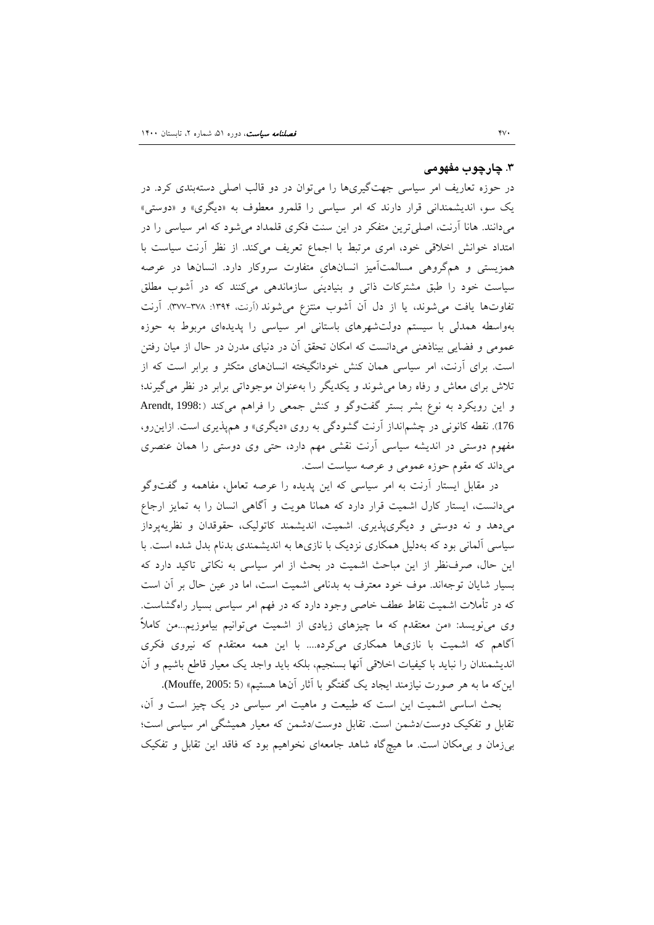#### **.3 چارچوب مفهومی**

در حوزه تعاریف امر سیاسی جهتگیريها را میتوان در دو قالب اصلی دستهبندي کرد. در یک سو، اندیشمندانی قرار دارند که امر سیاسی را قلمرو معطوف به «دیگري» و «دوستی» میدانند. هانا آرنت، اصلیترین متفکر در این سنت فکري قلمداد میشود که امر سیاسی را در امتداد خوانش اخلاقی خود، امري مرتبط با اجماع تعریف میکند. از نظر آرنت سیاست با همزیستی و همگروهی مسالمتآمیز انسانهايِ متفاوت سروکار دارد. انسانها در عرصه سیاست خود را طبق مشترکات ذاتی و بنیادینی سازماندهی میکنند که در آشوب مطلق تفاوتها یافت میشوند، یا از دل آن آشوب منتزع میشوند (آرنت، :1394 377-378). آرنت بهواسطه همدلی با سیستم دولتشهرهاي باستانی امر سیاسی را پدیدهاي مربوط به حوزه عمومی و فضایی بیناذهنی میدانست که امکان تحقق آن در دنیاي مدرن در حال از میان رفتن است. براي آرنت، امر سیاسی همان کنش خودانگیخته انسانهاي متکثر و برابر است که از تلاش براي معاش و رفاه رها میشوند و یکدیگر را بهعنوان موجوداتی برابر در نظر میگیرند؛ و این رویکرد به نوع بشر بستر گفتوگو و کنش جمعی را فراهم میکند ( 1998: ,Arendt 176). نقطه کانونی در چشمانداز آرنت گشودگی به روي «دیگري» و همپذیري است. ازاینرو، مفهوم دوستی در اندیشه سیاسی آرنت نقشی مهم دارد، حتی وي دوستی را همان عنصري میداند که مقوم حوزه عمومی و عرصه سیاست است.

در مقابل ایستار آرنت به امر سیاسی که این پدیده را عرصه تعامل، مفاهمه و گفتوگو میدانست، ایستار کارل اشمیت قرار دارد که همانا هویت و آگاهی انسان را به تمایز ارجاع میدهد و نه دوستی و دیگريپذیري. اشمیت، اندیشمند کاتولیک، حقوقدان و نظریهپرداز سیاسی آلمانی بود که بهدلیل همکاري نزدیک با نازيها به اندیشمندي بدنام بدل شده است. با این حال، صرفنظر از این مباحث اشمیت در بحث از امر سیاسی به نکاتی تاکید دارد که بسیار شایان توجهاند. موف خود معترف به بدنامی اشمیت است، اما در عین حال بر آن است که در تأملات اشمیت نقاط عطف خاصی وجود دارد که در فهم امر سیاسی بسیار راهگشاست. وي مینویسد: «من معتقدم که ما چیزهاي زیادي از اشمیت میتوانیم بیاموزیم...من کاملاً آگاهم که اشمیت با نازيها همکاري میکرده.... با این همه معتقدم که نیروي فکري اندیشمندان را نباید با کیفیات اخلاقی آنها بسنجیم، بلکه باید واجد یک معیار قاطع باشیم و آن اینکه ما به هر صورت نیازمند ایجاد یک گفتگو با آثار آنها هستیم» (5 :Mouffe, 2005).

 بحث اساسی اشمیت این است که طبیعت و ماهیت امر سیاسی در یک چیز است و آن، تقابل و تفکیک دوست/دشمن است. تقابل دوست/دشمن که معیار همیشگی امر سیاسی است؛ بیزمان و بیمکان است. ما هیچگاه شاهد جامعهاي نخواهیم بود که فاقد این تقابل و تفکیک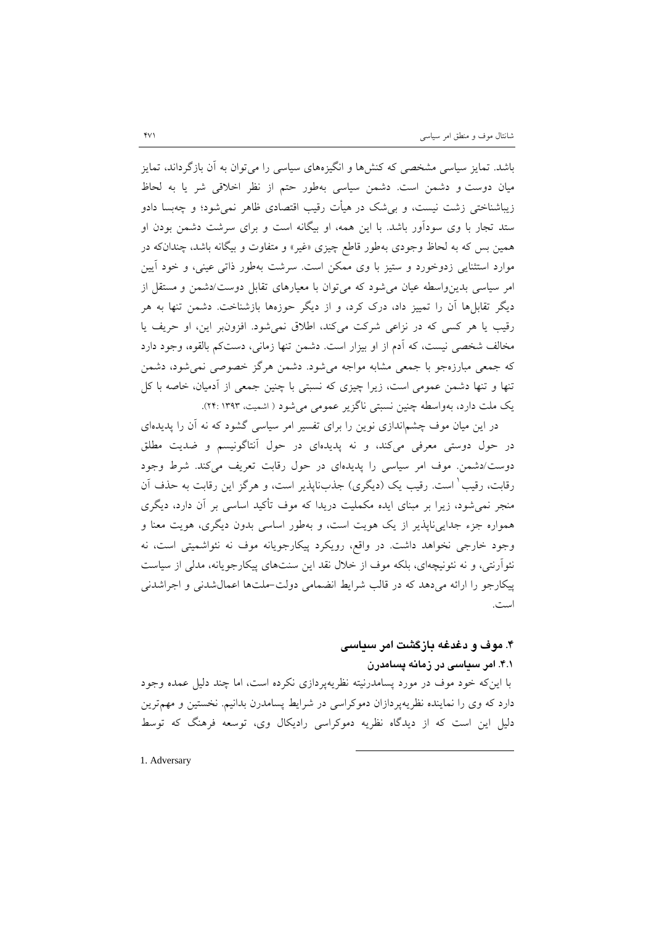باشد. تمایز سیاسی مشخصی که کنشها و انگیزههاي سیاسی را میتوان به آن بازگرداند، تمایز میان دوست و دشمن است. دشمن سیاسی بهطور حتم از نظر اخلاقی شر یا به لحاظ زیباشناختی زشت نیست، و بیشک در هیأت رقیب اقتصادي ظاهر نمیشود؛ و چهبسا دادو ستد تجار با وي سودآور باشد. با این همه، او بیگانه است و براي سرشت دشمن بودن او همین بس که به لحاظ وجودي بهطور قاطع چیزي «غیر» و متفاوت و بیگانه باشد، چندانکه در موارد استثنایی زدوخورد و ستیز با وي ممکن است. سرشت بهطور ذاتی عینی، و خود آیین امر سیاسی بدینواسطه عیان میشود که میتوان با معیارهاي تقابل دوست/دشمن و مستقل از دیگر تقابلها آن را تمییز داد، درك کرد، و از دیگر حوزهها بازشناخت. دشمن تنها به هر رقیب یا هر کسی که در نزاعی شرکت میکند، اطلاق نمیشود. افزونبر این، او حریف یا مخالف شخصی نیست، که آدم از او بیزار است. دشمن تنها زمانی، دستکم بالقوه، وجود دارد که جمعی مبارزهجو با جمعی مشابه مواجه میشود. دشمن هرگز خصوصی نمیشود، دشمن تنها و تنها دشمن عمومی است، زیرا چیزي که نسبتی با چنین جمعی از آدمیان، خاصه با کل یک ملت دارد، بهواسطه چنین نسبتی ناگزیر عمومی میشود ( اشمیت، 1393 24:).

در این میان موف چشماندازي نوین را براي تفسیر امر سیاسی گشود که نه آن را پدیدهاي در حول دوستی معرفی میکند، و نه پدیدهاي در حول آنتاگونیسم و ضدیت مطلق دوست/دشمن. موف امر سیاسی را پدیدهاي در حول رقابت تعریف میکند. شرط وجود رقابت، رقیب ٰ است. رقیب یک (دیگری) جذبناپذیر است، و هرگز این رقابت به حذف آن منجر نمیشود، زیرا بر مبناي ایده مکملیت دریدا که موف تأکید اساسی بر آن دارد، دیگري همواره جزء جداییناپذیر از یک هویت است، و بهطور اساسی بدون دیگري، هویت معنا و وجود خارجی نخواهد داشت. در واقع، رویکرد پیکارجویانه موف نه نئواشمیتی است، نه نئوآرنتی، و نه نئونیچهاي، بلکه موف از خلال نقد این سنتهاي پیکارجویانه، مدلی از سیاست پیکارجو را ارائه میدهد که در قالب شرایط انضمامی دولت-ملتها اعمالشدنی و اجراشدنی است.

# **.4 موف و دغدغه بازگشت امر سیاسی**

## **.4.1 امر سیاسی در زمانه پسامدرن**

با اینکه خود موف در مورد پسامدرنیته نظریهپردازي نکرده است، اما چند دلیل عمده وجود دارد که وي را نماینده نظریهپردازان دموکراسی در شرایط پسامدرن بدانیم. نخستین و مهمترین دلیل این است که از دیدگاه نظریه دموکراسی رادیکال وي، توسعه فرهنگ که توسط

-

1. Adversary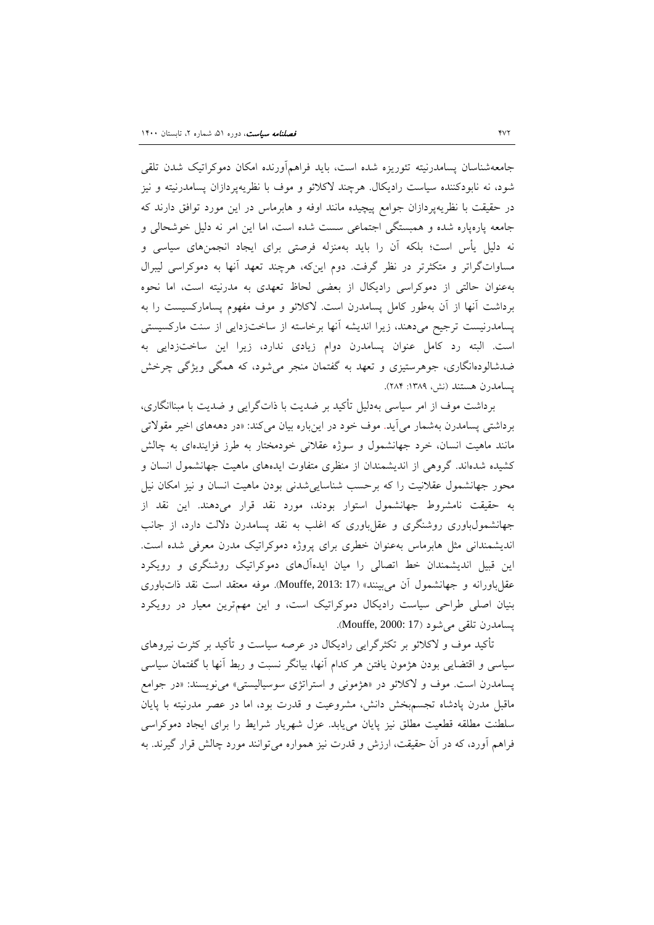جامعهشناسان پسامدرنیته تئوریزه شده است، باید فراهمآورنده امکان دموکراتیک شدن تلقی شود، نه نابودکننده سیاست رادیکال. هرچند لاکلائو و موف با نظریهپردازان پسامدرنیته و نیز در حقیقت با نظریهپردازان جوامع پیچیده مانند اوفه و هابرماس در این مورد توافق دارند که جامعه پارهپاره شده و همبستگی اجتماعی سست شده است، اما این امر نه دلیل خوشحالی و نه دلیل یأس است؛ بلکه آن را باید بهمنزله فرصتی براي ایجاد انجمنهاي سیاسی و مساواتگراتر و متکثرتر در نظر گرفت. دوم اینکه، هرچند تعهد آنها به دموکراسی لیبرال بهعنوان حالتی از دموکراسی رادیکال از بعضی لحاظ تعهدي به مدرنیته است، اما نحوه برداشت آنها از آن بهطور کامل پسامدرن است. لاکلائو و موف مفهوم پسامارکسیست را به پسامدرنیست ترجیح میدهند، زیرا اندیشه آنها برخاسته از ساختزدایی از سنت مارکسیستی است. البته رد کامل عنوان پسامدرن دوام زیادي ندارد، زیرا این ساختزدایی به ضدشالودهانگاري، جوهرستیزي و تعهد به گفتمان منجر میشود، که همگی ویژگی چرخش پسامدرن هستند (نش، ۱۳۸۹: ۲۸۴).

برداشت موف از امر سیاسی بهدلیل تأکید بر ضدیت با ذاتگرایی و ضدیت با مبناانگاري، برداشتی پسامدرن بهشمار میآید. موف خود در اینباره بیان میکند: «در دهههاي اخیر مقولاتی مانند ماهیت انسان، خرد جهانشمول و سوژه عقلانی خودمختار به طرز فزایندهاي به چالش کشیده شدهاند. گروهی از اندیشمندان از منظري متفاوت ایدههاي ماهیت جهانشمول انسان و محور جهانشمول عقلانیت را که برحسب شناساییشدنی بودن ماهیت انسان و نیز امکان نیل به حقیقت نامشروط جهانشمول استوار بودند، مورد نقد قرار میدهند. این نقد از جهانشمولباوري روشنگري و عقلباوري که اغلب به نقد پسامدرن دلالت دارد، از جانب اندیشمندانی مثل هابرماس بهعنوان خطري براي پروژه دموکراتیک مدرن معرفی شده است. این قبیل اندیشمندان خط اتصالی را میان ایدهآلهاي دموکراتیک روشنگري و رویکرد عقل باورانه و جهانشمول آن میبینند» (17 :Mouffe, 2013). موفه معتقد است نقد ذاتباوري بنیان اصلی طراحی سیاست رادیکال دموکراتیک است، و این مهمترین معیار در رویکرد پسامدرن تلقی میشود (17 2000: ,Mouffe(.

 تأکید موف و لاکلائو بر تکثرگرایی رادیکال در عرصه سیاست و تأکید بر کثرت نیروهاي سیاسی و اقتضایی بودن هژمون یافتن هر کدام آنها، بیانگر نسبت و ربط آنها با گفتمان سیاسی پسامدرن است. موف و لاکلائو در «هژمونی و استراتژي سوسیالیستی» مینویسند: «در جوامع ماقبل مدرن پادشاه تجسمبخش دانش، مشروعیت و قدرت بود، اما در عصر مدرنیته با پایان سلطنت مطلقه قطعیت مطلق نیز پایان مییابد. عزل شهریار شرایط را براي ایجاد دموکراسی فراهم آورد، که در آن حقیقت، ارزش و قدرت نیز همواره میتوانند مورد چالش قرار گیرند. به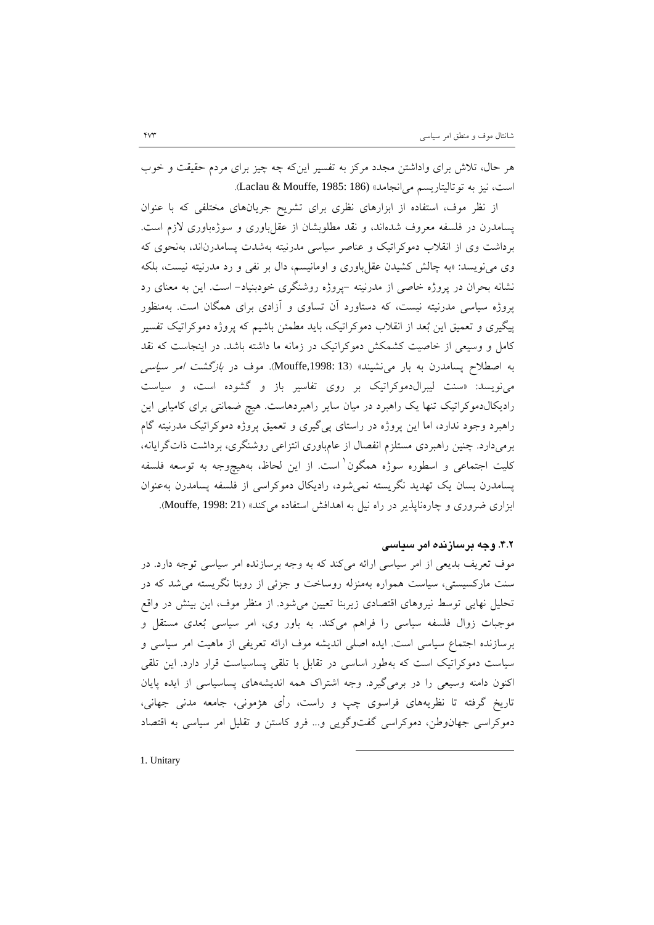هر حال، تلاش براي واداشتن مجدد مرکز به تفسیر اینکه چه چیز براي مردم حقیقت و خوب است، نیز به توتالیتاریسم میانجامد» (186 1985: ,Mouffe & Laclau(.

 از نظر موف، استفاده از ابزارهاي نظري براي تشریح جریانهاي مختلفی که با عنوان پسامدرن در فلسفه معروف شدهاند، و نقد مطلوبشان از عقلباوري و سوژهباوري لازم است. برداشت وي از انقلاب دموکراتیک و عناصر سیاسی مدرنیته بهشدت پسامدرناند، بهنحوي که وي مینویسد: «به چالش کشیدن عقلباوري و اومانیسم، دال بر نفی و رد مدرنیته نیست، بلکه نشانه بحران در پروژه خاصی از مدرنیته -پروژه روشنگري خودبنیاد- است. این به معناي رد پروژه سیاسی مدرنیته نیست، که دستاورد آن تساوي و آزادي براي همگان است. بهمنظور پیگیري و تعمیق این بعد از انقلاب دموکراتیک، باید مطمئن باشیم که پروژه دموکراتیک تفسیر کامل و وسیعی از خاصیت کشمکش دموکراتیک در زمانه ما داشته باشد. در اینجاست که نقد به اصطلاح پسامدرن به بار مینشیند» (13 ,1998:Mouffe(. موف در بازگشت امر سیاسی مینویسد: «سنت لیبرالدموکراتیک بر روي تفاسیر باز و گشوده است، و سیاست رادیکالدموکراتیک تنها یک راهبرد در میان سایر راهبردهاست. هیچ ضمانتی براي کامیابی این راهبرد وجود ندارد، اما این پروژه در راستاي پیگیري و تعمیق پروژه دموکراتیک مدرنیته گام برمیدارد. چنین راهبردي مستلزم انفصال از عامباوري انتزاعی روشنگري، برداشت ذاتگرایانه، کلیت اجتماعی و اسطوره سوژه همگون<sup>٬</sup> است. از این لحاظ، بههیچوجه به توسعه فلسفه پسامدرن بسان یک تهدید نگریسته نمیشود، رادیکال دموکراسی از فلسفه پسامدرن بهعنوان ابزاري ضروري و چارهناپذير در راه نيل به اهدافش استفاده میکند» (21 :Mouffe, 1998).

### **.4.2 وجه برسازنده امر سیاسی**

موف تعریف بدیعی از امر سیاسی ارائه میکند که به وجه برسازنده امر سیاسی توجه دارد. در سنت مارکسیستی، سیاست همواره بهمنزله روساخت و جزئی از روبنا نگریسته میشد که در تحلیل نهایی توسط نیروهاي اقتصادي زیربنا تعیین میشود. از منظر موف، این بینش در واقع موجبات زوال فلسفه سیاسی را فراهم میکند. به باور وي، امر سیاسی بعدي مستقل و برسازنده اجتماع سیاسی است. ایده اصلی اندیشه موف ارائه تعریفی از ماهیت امر سیاسی و سیاست دموکراتیک است که بهطور اساسی در تقابل با تلقی پساسیاست قرار دارد. این تلقی اکنون دامنه وسیعی را در برمیگیرد. وجه اشتراك همه اندیشههاي پساسیاسی از ایده پایان تاریخ گرفته تا نظریههاي فراسوي چپ و راست، رأي هژمونی، جامعه مدنی جهانی، دموکراسی جهانوطن، دموکراسی گفتوگویی و... فرو کاستن و تقلیل امر سیاسی به اقتصاد

-

1. Unitary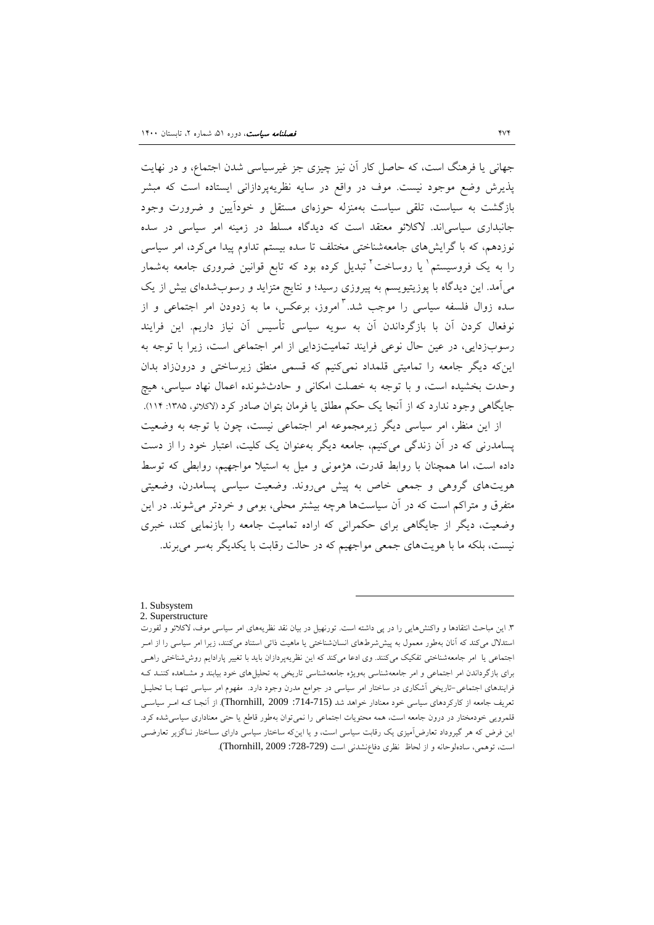جهانی یا فرهنگ است، که حاصل کار آن نیز چیزي جز غیرسیاسی شدن اجتماع، و در نهایت پذیرش وضع موجود نیست. موف در واقع در سایه نظریهپردازانی ایستاده است که مبشر بازگشت به سیاست، تلقی سیاست بهمنزله حوزهاي مستقل و خودآیین و ضرورت وجود جانبداري سیاسیاند. لاکلائو معتقد است که دیدگاه مسلط در زمینه امر سیاسی در سده نوزدهم، که با گرایشهای جامعهشناختی مختلف تا سده بیستم تداوم پیدا میکرد، امر سیاسی را به یک فروسیستم<sup>۱</sup> یا روساخت<sup>۲</sup> تبدیل کرده بود که تابع قوانین ضروری جامعه بهشمار میآمد. این دیدگاه با پوزیتیویسم به پیروزي رسید؛ و نتایج متزاید و رسوبشدهاي بیش از یک سده زوال فلسفه سیاسی را موجب شد. <sup>۳</sup>امروز، برعکس، ما به زدودن امر اجتماعی و از نوفعال کردن آن با بازگرداندن آن به سویه سیاسی تأسیس آن نیاز داریم. این فرایند رسوبزدایی، در عین حال نوعی فرایند تمامیتزدایی از امر اجتماعی است، زیرا با توجه به اینکه دیگر جامعه را تمامیتی قلمداد نمیکنیم که قسمی منطق زیرساختی و درونزاد بدان وحدت بخشیده است، و با توجه به خصلت امکانی و حادثشونده اعمال نهاد سیاسی، هیچ جایگاهی وجود ندارد که از آنجا یک حکم مطلق یا فرمان بتوان صادر کرد (لاکلائو، ۱۳۸۵: ۱۱۴).

از این منظر، امر سیاسی دیگر زیرمجموعه امر اجتماعی نیست، چون با توجه به وضعیت پسامدرنی که در آن زندگی میکنیم، جامعه دیگر بهعنوان یک کلیت، اعتبار خود را از دست داده است، اما همچنان با روابط قدرت، هژمونی و میل به استیلا مواجهیم، روابطی که توسط هویتهاي گروهی و جمعی خاص به پیش میروند. وضعیت سیاسی پسامدرن، وضعیتی متفرق و متراکم است که در آن سیاستها هرچه بیشتر محلی، بومی و خردتر میشوند. در این وضعیت، دیگر از جایگاهی براي حکمرانی که اراده تمامیت جامعه را بازنمایی کند، خبري نیست، بلکه ما با هویتهاي جمعی مواجهیم که در حالت رقابت با یکدیگر بهسر میبرند.

#### 1. Subsystem

#### 2. Superstructure

<span id="page-13-1"></span><span id="page-13-0"></span><sup>.3</sup> این مباحث انتقادها و واکنشهایی را در پی داشته است. تورنهیل در بیان نقد نظریههاي امر سیاسی موف، لاکلائو و لفورت استدلال میکند که آنان بهطور معمول به پیششرطهاي انسانشناختی یا ماهیت ذاتی استناد میکنند، زیرا امر سیاسی را از امـر اجتماعی یا امر جامعهشناختی تفکیک میکنند. وي ادعا میکند که این نظریهپردازان باید با تغییر پارادایم روششناختی راهـی براي بازگرداندن امر اجتماعی و امر جامعهشناسی بهویژه جامعهشناسی تاریخی به تحلیلهاي خود بیابند و مشـاهده کننـد کـه فرایندهای اجتماعی-تاریخی آشکاری در ساختار امر سیاسی در جوامع مدرن وجود دارد. مفهوم امر سیاسی تنهـا بــا تحليــل تعریف جامعه از کارکردهای سیاسی خود معنادار خواهد شد (713-714: Thornhill, 2009). از آنجـا کـه امـر سیاسـی قلمرویی خودمختار در درون جامعه است، همه محتویات اجتماعی را نمیتوان بهطور قاطع یا حتی معناداري سیاسیشده کرد. این فرض که هر گیروداد تعارضآمیزي یک رقابت سیاسی است، و یا اینکه ساختار سیاسی داراي سـاختار نـاگز یر تعارضـ ی است، توهمی، سادهلوحانه و از لحاظ نظری دفاع:شدنی است (728-728: Thornhill, 2009).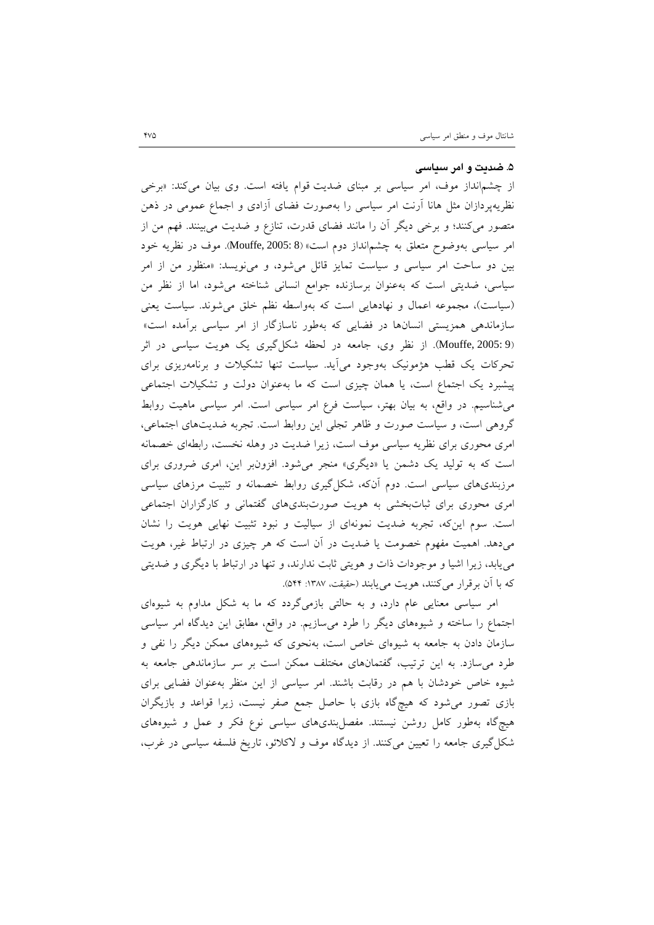## **.5 ضدیت و امر سیاسی**

از چشمانداز موف، امر سیاسی بر مبناي ضدیت قوام یافته است. وي بیان میکند: «برخی نظریهپردازان مثل هانا آرنت امر سیاسی را بهصورت فضاي آزادي و اجماع عمومی در ذهن متصور میکنند؛ و برخی دیگر آن را مانند فضاي قدرت، تنازع و ضدیت میبینند. فهم من از امر سیاسی بهوضوح متعلق به چشمانداز دوم است» (8 2005: ,Mouffe(. موف در نظریه خود بین دو ساحت امر سیاسی و سیاست تمایز قائل میشود، و مینویسد: «منظور من از امر سیاسی، ضدیتی است که بهعنوان برسازنده جوامع انسانی شناخته میشود، اما از نظر من (سیاست)، مجموعه اعمال و نهادهایی است که بهواسطه نظم خلق میشوند. سیاست یعنی سازماندهی همزیستی انسانها در فضایی که بهطور ناسازگار از امر سیاسی برآمده است» (9 :Mouffe, 2005). از نظر وي، جامعه در لحظه شکل گیري یک هویت سیاسی در اثر تحرکات یک قطب هژمونیک بهوجود میآید. سیاست تنها تشکیلات و برنامهریزي براي پیشبرد یک اجتماع است، یا همان چیزي است که ما بهعنوان دولت و تشکیلات اجتماعی میشناسیم. در واقع، به بیان بهتر، سیاست فرع امر سیاسی است. امر سیاسی ماهیت روابط گروهی است، و سیاست صورت و ظاهر تجلی این روابط است. تجربه ضدیتهاي اجتماعی، امري محوري براي نظریه سیاسی موف است، زیرا ضدیت در وهله نخست، رابطهاي خصمانه است که به تولید یک دشمن یا «دیگري» منجر میشود. افزونبر این، امري ضروري براي مرزبنديهاي سیاسی است. دوم آنکه، شکلگیري روابط خصمانه و تثبیت مرزهاي سیاسی امري محوري براي ثباتبخشی به هویت صورتبنديهاي گفتمانی و کارگزاران اجتماعی است. سوم اینکه، تجربه ضدیت نمونهاي از سیالیت و نبود تثبیت نهایی هویت را نشان میدهد. اهمیت مفهوم خصومت یا ضدیت در آن است که هر چیزي در ارتباط غیر، هویت مییابد، زیرا اشیا و موجودات ذات و هویتی ثابت ندارند، و تنها در ارتباط با دیگري و ضدیتی که با آن برقرار می کنند، هویت می یابند (حقیقت، ۱۳۸۷: ۵۴۴).

 امر سیاسی معنایی عام دارد، و به حالتی بازمیگردد که ما به شکل مداوم به شیوهاي اجتماع را ساخته و شیوههاي دیگر را طرد میسازیم. در واقع، مطابق این دیدگاه امر سیاسی سازمان دادن به جامعه به شیوهاي خاص است، بهنحوي که شیوههاي ممکن دیگر را نفی و طرد میسازد. به این ترتیب، گفتمانهاي مختلف ممکن است بر سر سازماندهی جامعه به شیوه خاص خودشان با هم در رقابت باشند. امر سیاسی از این منظر بهعنوان فضایی براي بازي تصور میشود که هیچگاه بازي با حاصل جمع صفر نیست، زیرا قواعد و بازیگران هیچگاه بهطور کامل روشن نیستند. مفصلبنديهاي سیاسی نوع فکر و عمل و شیوههاي شکلگیري جامعه را تعیین میکنند. از دیدگاه موف و لاکلائو، تاریخ فلسفه سیاسی در غرب،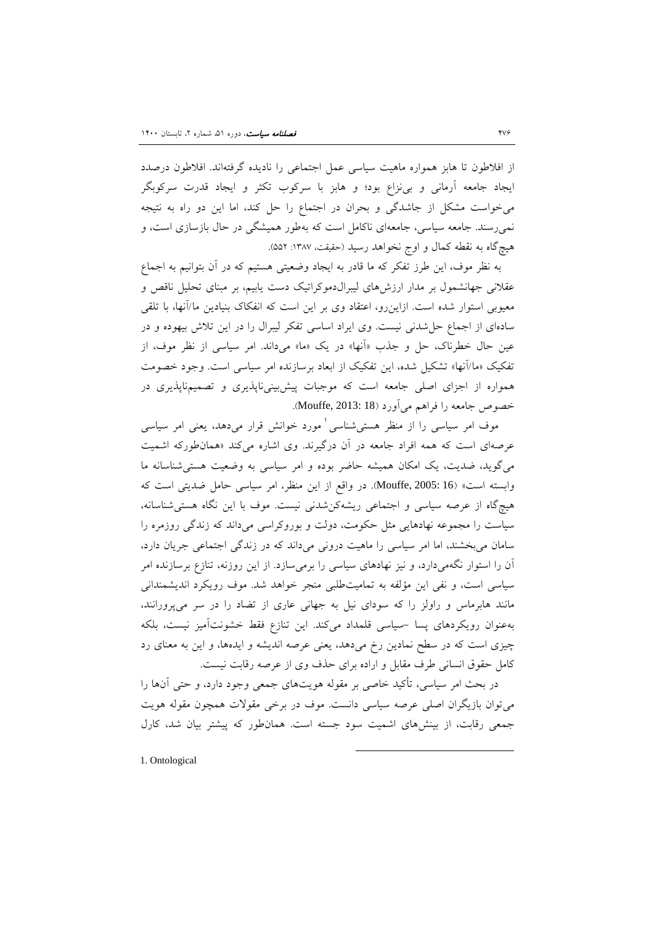از افلاطون تا هابز همواره ماهیت سیاسی عمل اجتماعی را نادیده گرفتهاند. افلاطون درصدد ایجاد جامعه آرمانی و بینزاع بود؛ و هابز با سرکوب تکثر و ایجاد قدرت سرکوبگر میخواست مشکل از جاشدگی و بحران در اجتماع را حل کند، اما این دو راه به نتیجه نمیرسند. جامعه سیاسی، جامعهاي ناکامل است که بهطور همیشگی در حال بازسازي است، و هیچگاه به نقطه کمال و اوج نخواهد رسید (حقیقت، :1387 552).

 به نظر موف، این طرز تفکر که ما قادر به ایجاد وضعیتی هستیم که در آن بتوانیم به اجماع عقلانی جهانشمول بر مدار ارزشهاي لیبرالدموکراتیک دست یابیم، بر مبناي تحلیل ناقص و معیوبی استوار شده است. ازاینرو، اعتقاد وي بر این است که انفکاك بنیادین ما/آنها، با تلقی سادهاي از اجماع حلشدنی نیست. وي ایراد اساسی تفکر لیبرال را در این تلاش بیهوده و در عین حال خطرناك، حل و جذب «آنها» در یک «ما» میداند. امر سیاسی از نظر موف، از تفکیک «ما/آنها» تشکیل شده، این تفکیک از ابعاد برسازنده امر سیاسی است. وجود خصومت همواره از اجزاي اصلی جامعه است که موجبات پیشبینیناپذیري و تصمیمناپذیري در خصوص جامعه را فراهم میآورد (18 2013: ,Mouffe(.

موف امر سیاسی را از منظر هستی شناسی <sup>۱</sup> مورد خوانش قرار میدهد، یعنی امر سیاسی عرصهاي است که همه افراد جامعه در آن درگیرند. وي اشاره میکند «همانطورکه اشمیت میگوید، ضدیت، یک امکان همیشه حاضر بوده و امر سیاسی به وضعیت هستیشناسانه ما وابسته است» (16 Mouffe, 2005: در واقع از این منظر، امر سیاسی حامل ضدیتی است که هیچگاه از عرصه سیاسی و اجتماعی ریشهکنشدنی نیست. موف با این نگاه هستیشناسانه، سیاست را مجموعه نهادهایی مثل حکومت، دولت و بوروکراسی میداند که زندگی روزمره را سامان میبخشند، اما امر سیاسی را ماهیت درونی میداند که در زندگی اجتماعی جریان دارد، آن را استوار نگهمیدارد، و نیز نهادهاي سیاسی را برمیسازد. از این روزنه، تنازع برسازنده امر سیاسی است، و نفی این مؤلفه به تمامیتطلبی منجر خواهد شد. موف رویکرد اندیشمندانی مانند هابرماس و راولز را که سوداي نیل به جهانی عاري از تضاد را در سر میپرورانند، بهعنوان رویکردهاي پسا -سیاسی قلمداد میکند. این تنازع فقط خشونتآمیز نیست، بلکه چیزي است که در سطح نمادین رخ میدهد، یعنی عرصه اندیشه و ایدهها، و این به معناي رد کامل حقوق انسانی طرف مقابل و اراده براي حذف وي از عرصه رقابت نیست.

در بحث امر سیاسی، تأکید خاصی بر مقوله هویتهاي جمعی وجود دارد، و حتی آنها را میتوان بازیگران اصلی عرصه سیاسی دانست. موف در برخی مقولات همچون مقوله هویت جمعی رقابت، از بینشهاي اشمیت سود جسته است. همانطور که پیشتر بیان شد، کارل

-

<span id="page-15-2"></span><span id="page-15-1"></span><span id="page-15-0"></span>1. Ontological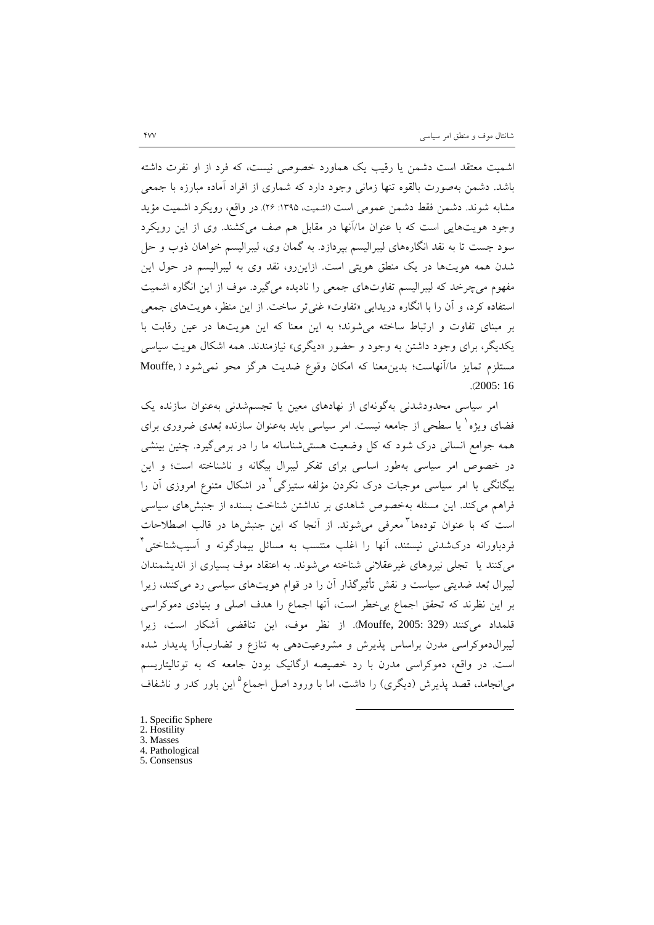اشمیت معتقد است دشمن یا رقیب یک هماورد خصوصی نیست، که فرد از او نفرت داشته باشد. دشمن بهصورت بالقوه تنها زمانی وجود دارد که شماري از افراد آماده مبارزه با جمعی مشابه شوند. دشمن فقط دشمن عمومی است (اشمیت، :1395 26). در واقع، رویکرد اشمیت مؤید وجود هویتهایی است که با عنوان ما/آنها در مقابل هم صف میکشند. وي از این رویکرد سود جست تا به نقد انگارههاي لیبرالیسم بپردازد. به گمان وي، لیبرالیسم خواهان ذوب و حل شدن همه هویتها در یک منطق هویتی است. ازاینرو، نقد وي به لیبرالیسم در حول این مفهوم میچرخد که لیبرالیسم تفاوتهاي جمعی را نادیده میگیرد. موف از این انگاره اشمیت استفاده کرد، و آن را با انگاره دریدایی «تفاوت» غنیتر ساخت. از این منظر، هویتهاي جمعی بر مبناي تفاوت و ارتباط ساخته میشوند؛ به این معنا که این هویتها در عین رقابت با یکدیگر، براي وجود داشتن به وجود و حضور «دیگري» نیازمندند. همه اشکال هویت سیاسی مستلزم تمایز ما/آنهاست؛ بدینمعنا که امکان وقوع ضدیت هرگز محو نمیشود ( ,Mouffe .(2005: 16

 امر سیاسی محدودشدنی بهگونهاي از نهادهاي معین یا تجسمشدنی بهعنوان سازنده یک فضاي ويژه` يا سطحی از جامعه نیست. امر سیاسی باید بهعنوان سازنده بُعدی ضروری برای همه جوامع انسانی درك شود که کل وضعیت هستیشناسانه ما را در برمیگیرد. چنین بینشی در خصوص امر سیاسی بهطور اساسی براي تفکر لیبرال بیگانه و ناشناخته است؛ و این بیگانگی با امر سیاسی موجبات درک نکردن مؤلفه ستیزگی <sup>۱</sup> در اشکال متنوع امروزی آن را فراهم میکند. این مسئله بهخصوص شاهدي بر نداشتن شناخت بسنده از جنبشهاي سیاسی است که با عنوان تودهها ٌمعرفی میشوند. از آنجا که این جنبشها در قالب اصطلاحات [4](#page-24-4) فردباورانه دركشدنی نیستند، آنها را اغلب منتسب به مسائل بیمارگونه و آسیبشناختی میکنند یا تجلی نیروهاي غیرعقلانی شناخته میشوند. به اعتقاد موف بسیاري از اندیشمندان لیبرال بعد ضدیتی سیاست و نقش تأثیرگذار آن را در قوام هویتهاي سیاسی رد میکنند، زیرا بر این نظرند که تحقق اجماع بیخطر است، آنها اجماع را هدف اصلی و بنیادي دموکراسی قلمداد میکنند (329 2005: ,Mouffe(. از نظر موف، این تناقضی آشکار است، زیرا لیبرالدموکراسی مدرن براساس پذیرش و مشروعیتدهی به تنازع و تضاربآرا پدیدار شده است. در واقع، دموکراسی مدرن با رد خصیصه ارگانیک بودن جامعه که به توتالیتاریسم میانجامد، قصد پذیرش (دیگری) را داشت، اما با ورود اصل اجماع<sup>۵</sup> این باور کدر و ناشفاف

- [1](#page-24-5). Specific Sphere
- 2. Hostility
- 3. Masses
- 4. Pathological
- 5. Consensus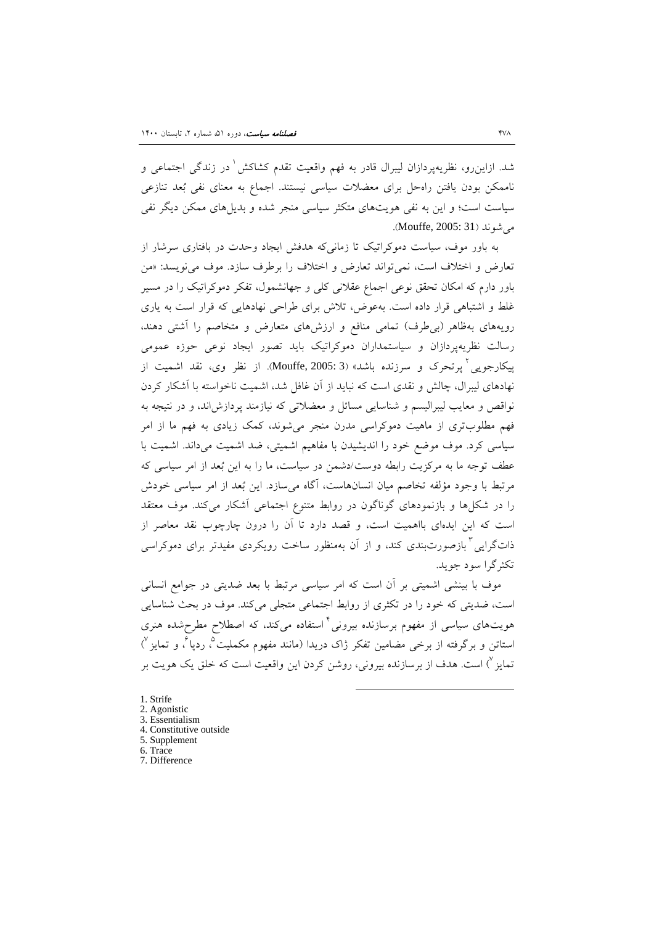[1](#page-24-0) شد. ازاینرو، نظریهپردازان لیبرال قادر به فهم واقعیت تقدم کشاکش در زندگی اجتماعی و ناممکن بودن یافتن راهحل براي معضلات سیاسی نیستند. اجماع به معناي نفی بعد تنازعی سیاست است؛ و این به نفی هویتهاي متکثر سیاسی منجر شده و بدیلهاي ممکن دیگر نفی می شوند (Mouffe, 2005: 31).

به باور موف، سیاست دموکراتیک تا زمانیکه هدفش ایجاد وحدت در بافتاري سرشار از تعارض و اختلاف است، نمیتواند تعارض و اختلاف را برطرف سازد. موف مینویسد: «من باور دارم که امکان تحقق نوعی اجماع عقلانی کلی و جهانشمول، تفکر دموکراتیک را در مسیر غلط و اشتباهی قرار داده است. بهعوض، تلاش براي طراحی نهادهایی که قرار است به یاري رویههاي بهظاهر (بیطرف) تمامی منافع و ارزشهاي متعارض و متخاصم را آشتی دهند، رسالت نظریهپردازان و سیاستمداران دموکراتیک باید تصور ایجاد نوعی حوزه عمومی بیکارجویی<sup>۲</sup> پرتحرک و سرزنده باشد» (3 :Mouffe, [2](#page-24-1)005). از نظر وي، نقد اشمیت از نهادهاي لیبرال، چالش و نقدي است که نباید از آن غافل شد، اشمیت ناخواسته با آشکار کردن نواقص و معایب لیبرالیسم و شناسایی مسائل و معضلاتی که نیازمند پردازشاند، و در نتیجه به فهم مطلوبتري از ماهیت دموکراسی مدرن منجر میشوند، کمک زیادي به فهم ما از امر سیاسی کرد. موف موضع خود را اندیشیدن با مفاهیم اشمیتی، ضد اشمیت میداند. اشمیت با عطف توجه ما به مرکزیت رابطه دوست/دشمن در سیاست، ما را به این بعد از امر سیاسی که مرتبط با وجود مؤلفه تخاصم میان انسانهاست، آگاه میسازد. این بعد از امر سیاسی خودش را در شکلها و بازنمودهاي گوناگون در روابط متنوع اجتماعی آشکار میکند. موف معتقد است که این ایدهاي بااهمیت است، و قصد دارد تا آن را درون چارچوب نقد معاصر از ذاتگرایی <sup>۳</sup> بازصورتبندی کند، و از آن بهمنظور ساخت رویکردی مفیدتر برای دموکراسی تکثرگرا سود جوید.

 موف با بینشی اشمیتی بر آن است که امر سیاسی مرتبط با بعد ضدیتی در جوامع انسانی است، ضدیتی که خود را در تکثري از روابط اجتماعی متجلی میکند. موف در بحث شناسایی هویتهای سیاسی از مفهوم برسازنده بیرونی<sup>۴</sup>استفاده میکند، که اصطلاح مطرحشده هنری  $\langle$  ستاتن و برگرفته از برخی مضامین تفکر ژاک دریدا (مانند مفهوم مکملیت $\,$  ، ردپا $\,$  و تمایز تمایز <sup>۷</sup>) است. هدف از برسازنده بیرونی، روشن کردن این واقعیت است که خلق یک هویت بر

1

<span id="page-17-0"></span>[1](#page-24-0). Strife 2. Agonistic 3. Essentialism 4. Constitutive outside 5. Supplement 6. Trace 7. Difference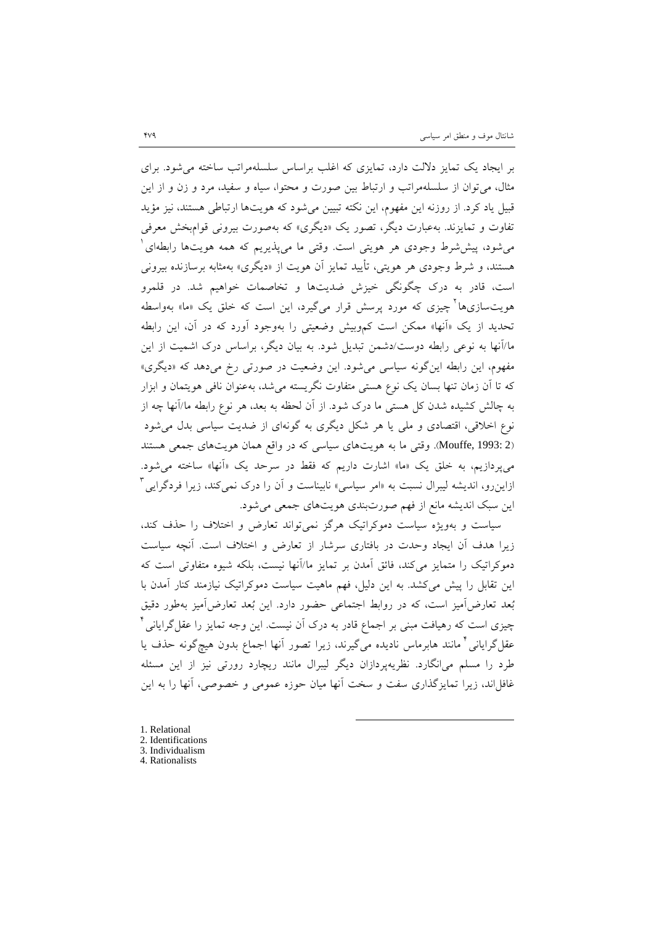بر ایجاد یک تمایز دلالت دارد، تمایزي که اغلب براساس سلسلهمراتب ساخته میشود. براي مثال، میتوان از سلسلهمراتب و ارتباط بین صورت و محتوا، سیاه و سفید، مرد و زن و از این قبیل یاد کرد. از روزنه این مفهوم، این نکته تبیین میشود که هویتها ارتباطی هستند، نیز مؤید تفاوت و تمایزند. بهعبارت دیگر، تصور یک «دیگري» که بهصورت بیرونی قوامبخش معرفی میشود، پیششرط وجودي هر هویتی است. وقتی ما میپذیریم که همه هویتها رابطهاي [1](#page-24-3) هستند، و شرط وجودي هر هویتی، تأیید تمایز آن هویت از «دیگري» بهمثابه برسازنده بیرونی است، قادر به درك چگونگی خیزش ضدیتها و تخاصمات خواهیم شد. در قلمرو هویتسازيها چیزي که مورد پرسش قرار میگیرد، این است که خلق یک «ما» بهواسطه [2](#page-24-4) تحدید از یک «آنها» ممکن است کموبیش وضعیتی را بهوجود آورد که در آن، این رابطه ما/آنها به نوعی رابطه دوست/دشمن تبدیل شود. به بیان دیگر، براساس درك اشمیت از این مفهوم، این رابطه اینگونه سیاسی میشود. این وضعیت در صورتی رخ میدهد که «دیگري» که تا آن زمان تنها بسان یک نوع هستی متفاوت نگریسته میشد، بهعنوان نافی هویتمان و ابزار به چالش کشیده شدن کل هستی ما درك شود. از آن لحظه به بعد، هر نوع رابطه ما/آنها چه از نوع اخلاقی، اقتصادي و ملی یا هر شکل دیگري به گونهاي از ضدیت سیاسی بدل میشود (2 :Mouffe, 1993). وقتی ما به هویتهاي سیاسی كه در واقع همان هویتهاي جمعی هستند میپردازیم، به خلق یک «ما» اشارت داریم که فقط در سرحد یک «آنها» ساخته میشود. ازاینرو، اندیشه لیبرال نسبت به «امر سیاسی» نابیناست و آن را درک نمیکند، زیرا فردگرایی<sup>۳</sup> این سبک اندیشه مانع از فهم صورتبندي هویتهاي جمعی میشود.

 سیاست و بهویژه سیاست دموکراتیک هرگز نمیتواند تعارض و اختلاف را حذف کند، زیرا هدف آن ایجاد وحدت در بافتاري سرشار از تعارض و اختلاف است. آنچه سیاست دموکراتیک را متمایز میکند، فائق آمدن بر تمایز ما/آنها نیست، بلکه شیوه متفاوتی است که این تقابل را پیش میکشد. به این دلیل، فهم ماهیت سیاست دموکراتیک نیازمند کنار آمدن با بعد تعارضآمیز است، که در روابط اجتماعی حضور دارد. این بعد تعارضآمیز بهطور دقیق چیزي است که رهیافت مبنی بر اجماع قادر به درك آن نیست. این وجه تمایز را عقلگرایانی [4](#page-24-0) عقل گرایانی ٔ مانند هابرماس نادیده میگیرند، زیرا تصور آنها اجماع بدون هیچگونه حذف یا طرد را مسلم میانگارد. نظریهپردازان دیگر لیبرال مانند ریچارد رورتی نیز از این مسئله غافل اند، زیرا تمایزگذاری سفت و سخت آنها میان حوزه عمومی و خصوصی، آنها را به این

- [1](#page-24-0). Relational
- 2. Identifications
- 3. Individualism
- <span id="page-18-0"></span>4. Rationalists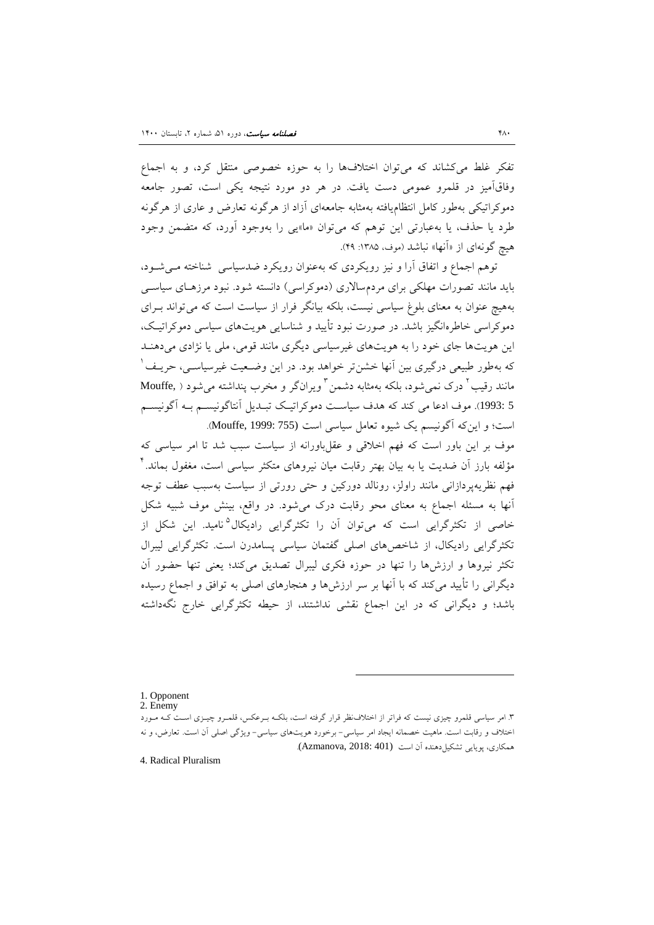تفکر غلط میکشاند که میتوان اختلافها را به حوزه خصوصی منتقل کرد، و به اجماع وفاقآمیز در قلمرو عمومی دست یافت. در هر دو مورد نتیجه یکی است، تصور جامعه دموکراتیکی بهطور کامل انتظامیافته بهمثابه جامعهاي آزاد از هرگونه تعارض و عاري از هرگونه طرد یا حذف، یا بهعبارتی این توهم که میتوان «ما»یی را بهوجود آورد، که متضمن وجود هیچ گونهای از «آنها» نباشد (موف، ۱۳۸۵: ۴۹).

 توهم اجماع و اتفاق آرا و نیز رویکردي که بهعنوان رویکرد ضدسیاسی شناخته مـی شـود، باید مانند تصورات مهلکی براي مردمسالاري (دموکراسی) دانسته شود. نبود مرزهـاي سیاسـی بههیچ عنوان به معناي بلوغ سیاسی نیست، بلکه بیانگر فرار از سیاست است که میتواند بـراي دموکراسی خاطرهانگیز باشد. در صورت نبود تأیید و شناسایی هویتهاي سیاسی دموکراتیـک ، این هویتها جاي خود را به هویتهاي غیرسیاسی دیگري مانند قومی، ملی یا نژادي میدهنـد [1](#page-24-6) که بهطور طبیعی درگیري بین آنها خشنتر خواهد بود. در این وضـعیت غیرسیاسـی، حریـف مانند رقیب ٔ درک نمی شود، بلکه بهمثابه دشمن ٔ ویرانگر و مخرب پنداشته می شود ( .Mouffe 5 :1993). موف ادعا می کند که هدف سیاسـت دموکراتیـک تبـدیل آنتاگونیسـم بـه آگونیسـم است؛ و اینکه آگونیسم یک شیوه تعامل سیاسی است (755 1999: ,Mouffe(.

موف بر این باور است که فهم اخلاقی و عقلباورانه از سیاست سبب شد تا امر سیاسی که [4](#page-24-9) مؤلفه بارز آن ضدیت یا به بیان بهتر رقابت میان نیروهاي متکثر سیاسی است، مغفول بماند. فهم نظریهپردازانی مانند راولز، رونالد دورکین و حتی رورتی از سیاست بهسبب عطف توجه آنها به مسئله اجماع به معناي محو رقابت درك میشود. در واقع، بینش موف شبیه شکل خاصی از تکثرگرایی است که میتوان آن را تکثرگرایی رادیکال<sup>۵</sup>نامید. این شکل از تکثرگرایی رادیکال، از شاخصهاي اصلی گفتمان سیاسی پسامدرن است. تکثرگرایی لیبرال تکثر نیروها و ارزشها را تنها در حوزه فکري لیبرال تصدیق میکند؛ یعنی تنها حضور آن دیگرانی را تأیید میکند که با آنها بر سر ارزشها و هنجارهاي اصلی به توافق و اجماع رسیده باشد؛ و دیگرانی که در این اجماع نقشی نداشتند، از حیطه تکثرگرایی خارج نگهداشته

1. Opponent

2. Enemy

.<br>۳. امر سیاسی قلمرو چیزی نیست که فراتر از اختلافنظر قرار گرفته است، بلکـه بـرعکس، قلمـرو چیــزی اسـت کـه مـورد اختلاف و رقابت است. ماهیت خصمانه ایجاد امر سیاسی- برخورد هویتهاي سیاسی- ویژگی اصلی آن است. تعارض، و نه همکاري، پويايي تشکيل دهنده آن است (Azmanova, 2018: 401).

-

4. Radical Pluralism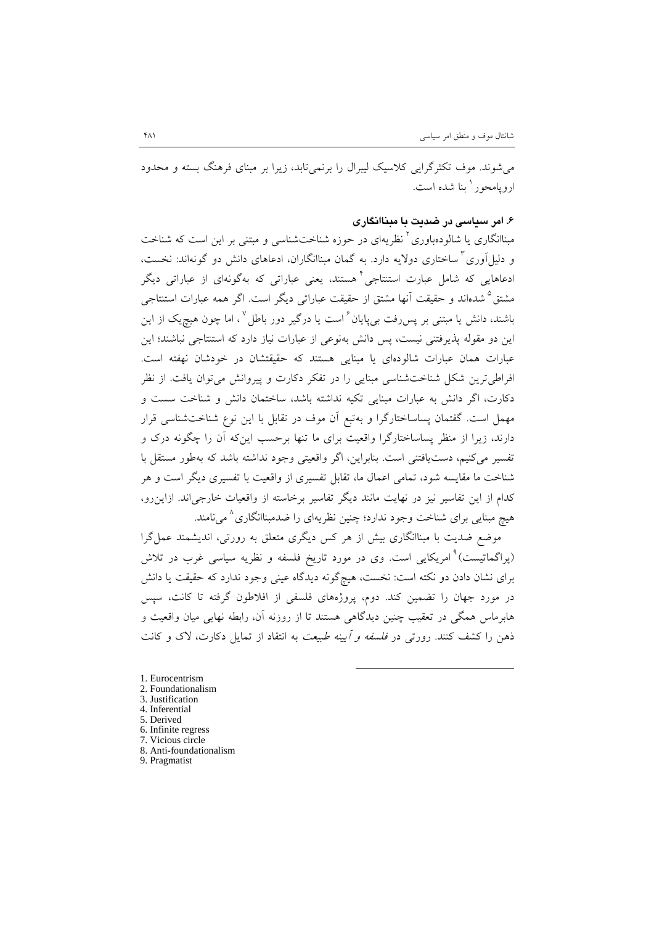میشوند. موف تکثرگرایی کلاسیک لیبرال را برنمیتابد، زیرا بر مبناي فرهنگ بسته و محدود ا<sub>د</sub>و بامحور <sup>۱</sup> بنا شده است.

## **.6 امر سیاسی در ضدیت با مبناانگاري**

مبناانگاری یا شالودهباوری<sup>۲</sup> نظریهای در حوزه شناختشناسی و مبتنی بر این است که شناخت و دلیلآوری<sup>۳</sup> ساختاری دولایه دارد. به گمان مبناانگاران، ادعاهای دانش دو گونهاند: نخست، ادعاهايی که شامل عبارت استنتاجی <sup>۱</sup> هستند، یعنی عباراتی که بهگونهای از عباراتی دیگر مشتق<sup>۵</sup> شدهاند و حقیقت آنها مشتق از حقیقت عباراتی دیگر است. اگر همه عبارات استنتاجی باشند، دانش یا مبتنی بر پس رفت بی پایان <sup>۶</sup> است یا درگیر دور باطل <sup>۷</sup> ، اما چون هیچ<sub>ی</sub>ک از این این دو مقوله پذیرفتنی نیست، پس دانش بهنوعی از عبارات نیاز دارد که استنتاجی نباشند؛ این عبارات همان عبارات شالودهاي یا مبنایی هستند که حقیقتشان در خودشان نهفته است. افراطیترین شکل شناختشناسی مبنایی را در تفکر دکارت و پیروانش میتوان یافت. از نظر دکارت، اگر دانش به عبارات مبنایی تکیه نداشته باشد، ساختمان دانش و شناخت سست و مهمل است. گفتمان پساساختارگرا و بهتبع آن موف در تقابل با این نوع شناختشناسی قرار دارند، زیرا از منظر پساساختارگرا واقعیت براي ما تنها برحسب اینکه آن را چگونه درك و تفسیر میکنیم، دستیافتنی است. بنابراین، اگر واقعیتی وجود نداشته باشد که بهطور مستقل با شناخت ما مقایسه شود، تمامی اعمال ما، تقابل تفسیري از واقعیت با تفسیري دیگر است و هر کدام از این تفاسیر نیز در نهایت مانند دیگر تفاسیر برخاسته از واقعیات خارجیاند. ازاینرو، هیچ مبنایی برای شناخت وجود ندارد؛ چنین نظریهای را ضدمبناانگاری^ م<sub>ه ن</sub>امند.

موضع ضدیت با مبناانگاري بیش از هر کس دیگري متعلق به رورتی، اندیشمند عملگرا (پراگماتیست)<sup>۹</sup> امریکایی است. وی در مورد تاریخ فلسفه و نظریه سیاسی غرب در تلاش براي نشان دادن دو نکته است: نخست، هیچگونه دیدگاه عینی وجود ندارد که حقیقت یا دانش در مورد جهان را تضمین کند. دوم، پروژههاي فلسفی از افلاطون گرفته تا کانت، سپس هابرماس همگی در تعقیب چنین دیدگاهی هستند تا از روزنه آن، رابطه نهایی میان واقعیت و ذهن را کشف کنند. رورتی در فلسفه و آیینه طبیعت به انتقاد از تمایل دکارت، لاك و کانت

1

<span id="page-20-0"></span>[1](#page-24-0). Eurocentrism 2. Foundationalism 3. Justification 4. Inferential 5. Derived 6. Infinite regress 7. Vicious circle 8. Anti-foundationalism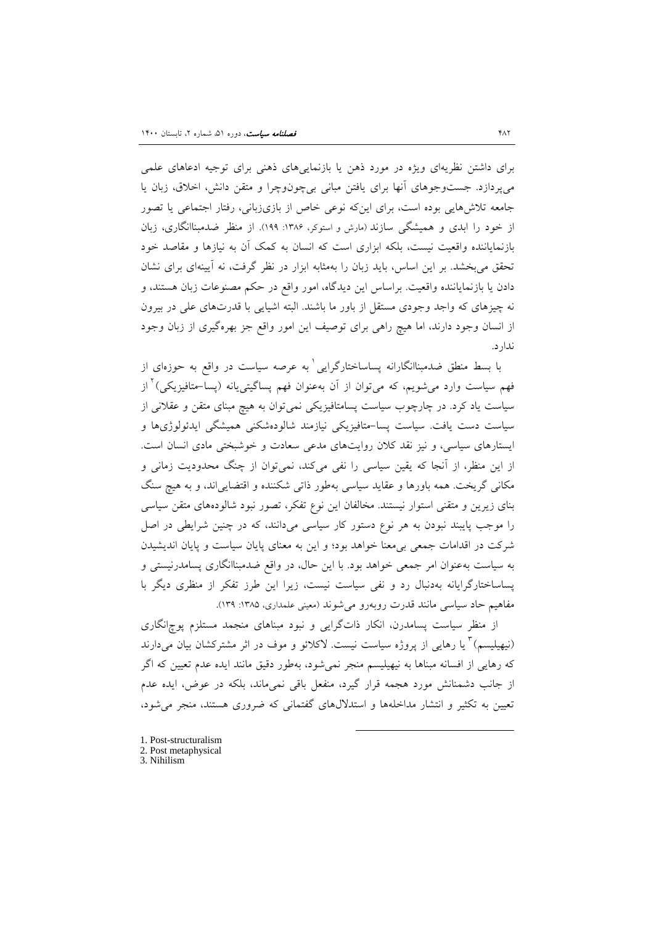براي داشتن نظریهاي ویژه در مورد ذهن یا بازنماییهاي ذهنی براي توجیه ادعاهاي علمی میپردازد. جستوجوهاي آنها براي یافتن مبانی بیچونوچرا و متقن دانش، اخلاق، زبان یا جامعه تلاشهایی بوده است، براي اینکه نوعی خاص از بازيزبانی، رفتار اجتماعی یا تصور از خود را ابدي و همیشگی سازند (مارش و استوکر، :1386 199). از منظر ضدمبناانگاري، زبان بازنمایاننده واقعیت نیست، بلکه ابزاري است که انسان به کمک آن به نیازها و مقاصد خود تحقق میبخشد. بر این اساس، باید زبان را بهمثابه ابزار در نظر گرفت، نه آیینهاي براي نشان دادن یا بازنمایاننده واقعیت. براساس این دیدگاه، امور واقع در حکم مصنوعات زبان هستند، و نه چیزهاي که واجد وجودي مستقل از باور ما باشند. البته اشیایی با قدرتهاي علی در بیرون از انسان وجود دارند، اما هیچ راهی براي توصیف این امور واقع جز بهرهگیري از زبان وجود ندارد.

با بسط منطق ضدمبناانگارانه پساساختارگرایی <sup>۱</sup> به عرصه سیاست در واقع به حوزهای از از [2](#page-24-0) فهم سیاست وارد میشویم، که میتوان از آن بهعنوان فهم پساگیتییانه (پسا-متافیزیکی) سیاست یاد کرد. در چارچوب سیاست پسامتافیزیکی نمیتوان به هیچ مبناي متقن و عقلانی از سیاست دست یافت. سیاست پسا-متافیزیکی نیازمند شالودهشکنی همیشگی ایدئولوژيها و ایستارهاي سیاسی، و نیز نقد کلان روایتهاي مدعی سعادت و خوشبختی مادي انسان است. از این منظر، از آنجا که یقین سیاسی را نفی میکند، نمیتوان از چنگ محدودیت زمانی و مکانی گریخت. همه باورها و عقاید سیاسی بهطور ذاتی شکننده و اقتضاییاند، و به هیچ سنگ بناي زیرین و متقنی استوار نیستند. مخالفان این نوع تفکر، تصور نبود شالودههاي متقن سیاسی را موجب پایبند نبودن به هر نوع دستور کار سیاسی میدانند، که در چنین شرایطی در اصل شرکت در اقدامات جمعی بیمعنا خواهد بود؛ و این به معناي پایان سیاست و پایان اندیشیدن به سیاست بهعنوان امر جمعی خواهد بود. با این حال، در واقع ضدمبناانگاري پسامدرنیستی و پساساختارگرایانه بهدنبال رد و نفی سیاست نیست، زیرا این طرز تفکر از منظري دیگر با مفاهیم حاد سیاسی مانند قدرت روبهرو می شوند (معینی علمداری، ۱۳۸۵: ۱۳۹).

 از منظر سیاست پسامدرن، انکار ذاتگرایی و نبود مبناهاي منجمد مستلزم پوچانگاري (نیهیلیسم) <sup>۳</sup> یا رهایی از پروژه سیاست نیست. لاکلائو و موف در اثر مشترکشان بیان می دارند که رهایی از افسانه مبناها به نیهیلیسم منجر نمیشود، بهطور دقیق مانند ایده عدم تعیین که اگر از جانب دشمنانش مورد هجمه قرار گیرد، منفعل باقی نمیماند، بلکه در عوض، ایده عدم تعیین به تکثیر و انتشار مداخلهها و استدلالهاي گفتمانی که ضروري هستند، منجر میشود،

-

[1](#page-24-0). Post-structuralism 2. Post metaphysical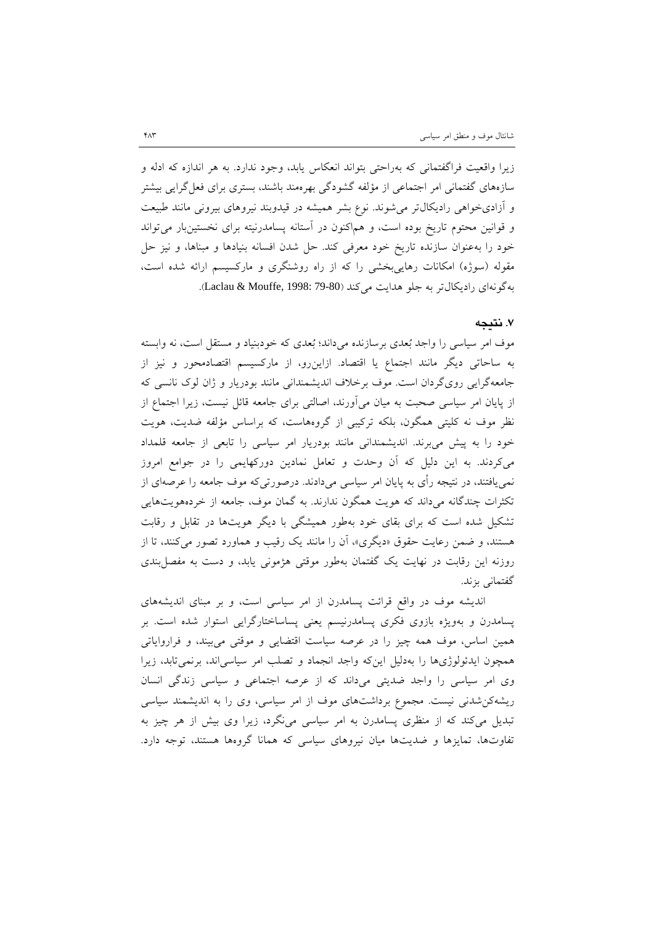زیرا واقعیت فراگفتمانی که بهراحتی بتواند انعکاس یابد، وجود ندارد. به هر اندازه که ادله و سازههاي گفتمانی امر اجتماعی از مؤلفه گشودگی بهرهمند باشند، بستري براي فعلگرایی بیشتر و آزاديخواهی رادیکالتر میشوند. نوع بشر همیشه در قیدوبند نیروهاي بیرونی مانند طبیعت و قوانین محتوم تاریخ بوده است، و هماکنون در آستانه پسامدرنیته براي نخستینبار میتواند خود را بهعنوان سازنده تاریخ خود معرفی کند. حل شدن افسانه بنیادها و مبناها، و نیز حل مقوله (سوژه) امکانات رهاییبخشی را که از راه روشنگري و مارکسیسم ارائه شده است، بهگونهاي راديكالتر به جلو هدايت مي كند (Laclau & Mouffe, 1998: 79-80).

#### **.7 نتیجه**

موف امر سیاسی را واجد بعدي برسازنده میداند؛ بعدي که خودبنیاد و مستقل است، نه وابسته به ساحاتی دیگر مانند اجتماع یا اقتصاد. ازاینرو، از مارکسیسم اقتصادمحور و نیز از جامعهگرایی رويگردان است. موف برخلاف اندیشمندانی مانند بودریار و ژان لوك نانسی که از پایان امر سیاسی صحبت به میان میآورند، اصالتی براي جامعه قائل نیست، زیرا اجتماع از نظر موف نه کلیتی همگون، بلکه ترکیبی از گروههاست، که براساس مؤلفه ضدیت، هویت خود را به پیش میبرند. اندیشمندانی مانند بودریار امر سیاسی را تابعی از جامعه قلمداد میکردند. به این دلیل که آن وحدت و تعامل نمادین دورکهایمی را در جوامع امروز نمییافتند، در نتیجه رأي به پایان امر سیاسی میدادند. درصورتیکه موف جامعه را عرصهاي از تکثرات چندگانه میداند که هویت همگون ندارند. به گمان موف، جامعه از خردههویتهایی تشکیل شده است که براي بقاي خود بهطور همیشگی با دیگر هویتها در تقابل و رقابت هستند، و ضمن رعایت حقوق «دیگري»، آن را مانند یک رقیب و هماورد تصور میکنند، تا از روزنه این رقابت در نهایت یک گفتمان بهطور موقتی هژمونی یابد، و دست به مفصلبندي گفتمانی بزند.

 اندیشه موف در واقع قرائت پسامدرن از امر سیاسی است، و بر مبناي اندیشههاي پسامدرن و بهویژه بازوي فکري پسامدرنیسم یعنی پساساختارگرایی استوار شده است. بر همین اساس، موف همه چیز را در عرصه سیاست اقتضایی و موقتی میبیند، و فراروایاتی همچون ایدئولوژيها را بهدلیل اینکه واجد انجماد و تصلب امر سیاسیاند، برنمیتابد، زیرا وي امر سیاسی را واجد ضدیتی میداند که از عرصه اجتماعی و سیاسی زندگی انسان ریشهکنشدنی نیست. مجموع برداشتهاي موف از امر سیاسی، وي را به اندیشمند سیاسی تبدیل میکند که از منظري پسامدرن به امر سیاسی مینگرد، زیرا وي بیش از هر چیز به تفاوتها، تمایزها و ضدیتها میان نیروهاي سیاسی که همانا گروهها هستند، توجه دارد.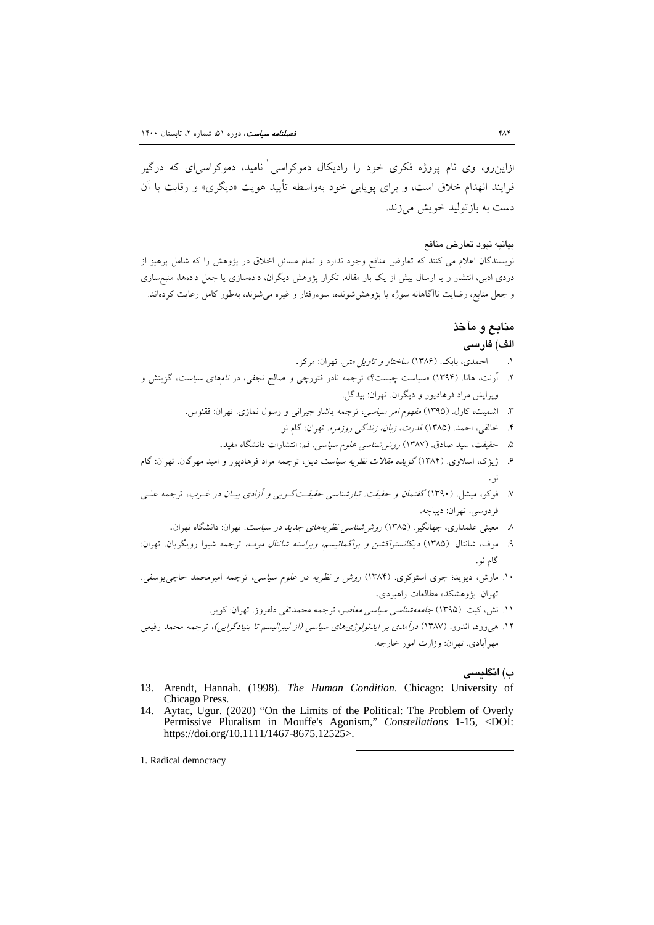ازاين رو، وي نام پروژه فکري خود را راديکال دموکراسي آناميد، دموکراسي اي که درگير فرایند انهدام خلاق است، و براي پویایی خود بهواسطه تأیید هویت «دیگري» و رقابت با آن دست به بازتولید خویش میزند.

#### بیانیه نبود تعارض منافع

نویسندگان اعلام می کنند که تعارض منافع وجود ندارد و تمام مسائل اخلاق در پژوهش را که شامل پرهیز از دزدي ادبی، انتشار و یا ارسال بیش از یک بار مقاله، تکرار پژوهش دیگران، دادهسازي یا جعل دادهها، منبعسازي و جعل منابع، رضایت ناآگاهانه سوژه یا پژوهششونده، سوءرفتار و غیره میشوند، بهطور کامل رعایت کردهاند.

## **منابع و مآخذ**

## **الف) فارسی**

- .[1](#page-24-0) احمدي، بابک. [\(1386\)](#page-24-13) ساختار و تاویل متن. تهران: مرکز.
- .2 آرنت، هانا. (1394) «سیاست چیست؟» ترجمه نادر فتورچی و صالح نجفی، در نامهاي سیاست، گزینش و ویرایش مراد فرهادپور و دیگران. تهران: بیدگل.
	- .3 اشمیت، کارل. (1395) مفهوم امر سیاسی، ترجمه یاشار جیرانی و رسول نمازي. تهران: ققنوس.
		- .4 خالقی، احمد. (1385) قدرت، زبان، زندگی روزمره. تهران: گام نو.
		- .5 حقیقت، سید صادق. (1387) روششناسی علوم سیاسی. قم: انتشارات دانشگاه مفید.
- ۶. ژیژک، اسلاوی. (۱۳۸۴) *گزیده مقالات نظریه سیاست دین*، ترجمه مراد فرهادپور و امید مهرگان. تهران: گام .<br>نو .
- .7 فوکو، میشل. (1390) گفتمان و حقیقت: تبارشناسی حقیقـتگـویی و آزادي بیـان در غـرب، ترجمه علـی فردوسی. تهران: دیباچه.
	- .8 معینی علمداري، جهانگیر. (1385) روششناسی نظریههاي جدید در سیاست. تهران: دانشگاه تهران.
- .9 موف، شانتال. (1385) دیکانستراکشن و پراگماتیسم، ویراسته شانتال موف، ترجمه شیوا رویگریان. تهران: گام نو.
- .10 مارش، دیوید؛ جري استوکري. (1384) روش و نظریه در علوم سیاسی، ترجمه امیرمحمد حاجییوسفی. تهران: پژوهشکده مطالعات راهبردي.
	- .11 نش، کیت. (1395) جامعهشناسی سیاسی معاصر، ترجمه محمدتقی دلفروز. تهران: کویر.

-

.12 هیوود، اندرو. (1387) درآمدي بر ایدئولوژيهاي سیاسی (از لیبرالیسم تا بنیادگرایی)، ترجمه محمد رفیعی مهرآبادي. تهران: وزارت امور خارجه.

### **ب) انگلیسی**

- <span id="page-23-3"></span><span id="page-23-2"></span><span id="page-23-1"></span><span id="page-23-0"></span>13. Arendt, Hannah. (1998). *The Human Condition*. Chicago: University of Chicago Press.
- 14. Aytac, Ugur. (2020) "On the Limits of the Political: The Problem of Overly Permissive Pluralism in Mouffe's Agonism," *Constellations* 1-15, <DOI: https://doi.org/10.1111/1467-8675.12525>.
- 1. Radical democracy